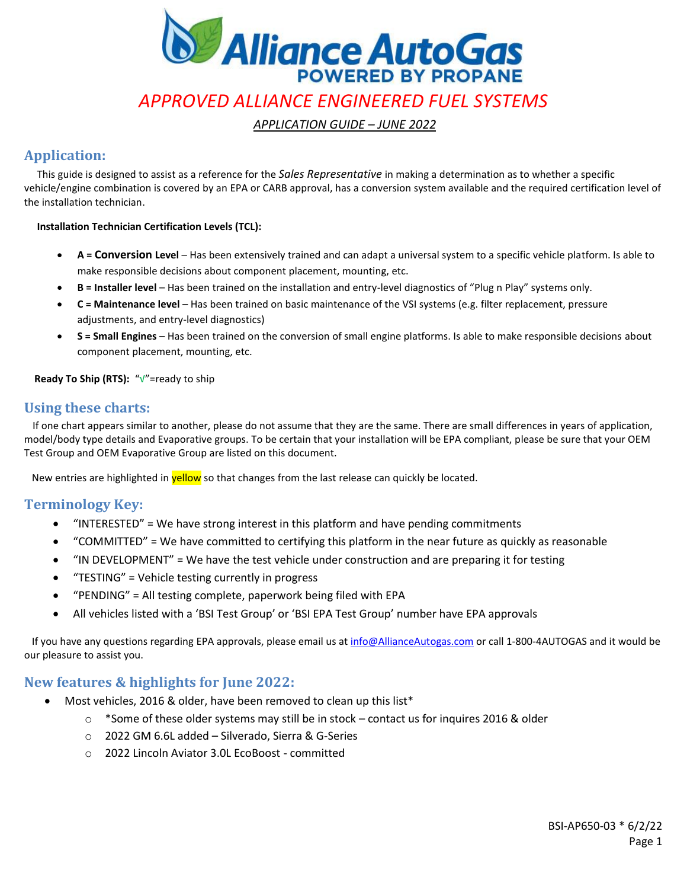

*APPLICATION GUIDE – JUNE 2022*

## **Application:**

 This guide is designed to assist as a reference for the *Sales Representative* in making a determination as to whether a specific vehicle/engine combination is covered by an EPA or CARB approval, has a conversion system available and the required certification level of the installation technician.

#### **Installation Technician Certification Levels (TCL):**

- **A = Conversion Level** Has been extensively trained and can adapt a universal system to a specific vehicle platform. Is able to make responsible decisions about component placement, mounting, etc.
- **B = Installer level** Has been trained on the installation and entry-level diagnostics of "Plug n Play" systems only.
- **C = Maintenance level** Has been trained on basic maintenance of the VSI systems (e.g. filter replacement, pressure adjustments, and entry-level diagnostics)
- **S = Small Engines** Has been trained on the conversion of small engine platforms. Is able to make responsible decisions about component placement, mounting, etc.

#### **Ready To Ship (RTS):** "√"=ready to ship

## **Using these charts:**

 If one chart appears similar to another, please do not assume that they are the same. There are small differences in years of application, model/body type details and Evaporative groups. To be certain that your installation will be EPA compliant, please be sure that your OEM Test Group and OEM Evaporative Group are listed on this document.

New entries are highlighted in **yellow** so that changes from the last release can quickly be located.

## **Terminology Key:**

- "INTERESTED" = We have strong interest in this platform and have pending commitments
- "COMMITTED" = We have committed to certifying this platform in the near future as quickly as reasonable
- "IN DEVELOPMENT" = We have the test vehicle under construction and are preparing it for testing
- "TESTING" = Vehicle testing currently in progress
- "PENDING" = All testing complete, paperwork being filed with EPA
- All vehicles listed with a 'BSI Test Group' or 'BSI EPA Test Group' number have EPA approvals

 If you have any questions regarding EPA approvals, please email us a[t info@AllianceAutogas.com](mailto:BlossmanServices@BlossmanGas.com) or call 1-800-4AUTOGAS and it would be our pleasure to assist you.

## **New features & highlights for June 2022:**

- Most vehicles, 2016 & older, have been removed to clean up this list\*
	- $\circ$  \*Some of these older systems may still be in stock contact us for inquires 2016 & older
	- o 2022 GM 6.6L added Silverado, Sierra & G-Series
	- o 2022 Lincoln Aviator 3.0L EcoBoost committed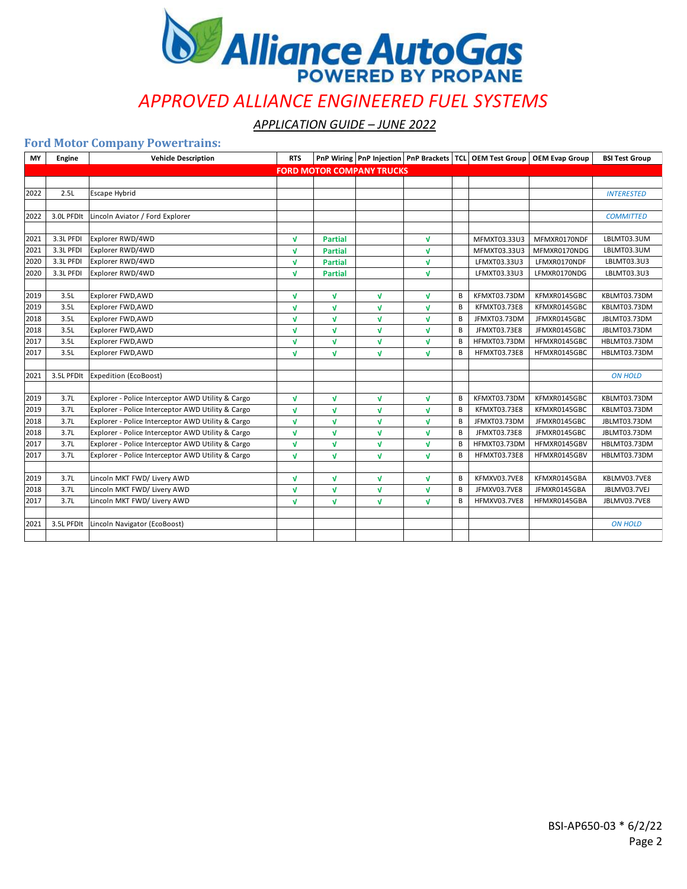

*APPLICATION GUIDE – JUNE 2022*

### **Ford Motor Company Powertrains:**

| MY   | Engine     | <b>Vehicle Description</b>                        | <b>RTS</b>   |                |                                  |              |   |              | PnP Wiring PnP Injection   PnP Brackets   TCL   OEM Test Group   OEM Evap Group | <b>BSI Test Group</b> |
|------|------------|---------------------------------------------------|--------------|----------------|----------------------------------|--------------|---|--------------|---------------------------------------------------------------------------------|-----------------------|
|      |            |                                                   |              |                | <b>FORD MOTOR COMPANY TRUCKS</b> |              |   |              |                                                                                 |                       |
|      |            |                                                   |              |                |                                  |              |   |              |                                                                                 |                       |
| 2022 | 2.5L       | Escape Hybrid                                     |              |                |                                  |              |   |              |                                                                                 | <b>INTERESTED</b>     |
|      |            |                                                   |              |                |                                  |              |   |              |                                                                                 |                       |
| 2022 | 3.0L PFDIt | Lincoln Aviator / Ford Explorer                   |              |                |                                  |              |   |              |                                                                                 | <b>COMMITTED</b>      |
|      |            |                                                   |              |                |                                  |              |   |              |                                                                                 |                       |
| 2021 | 3.3L PFDI  | Explorer RWD/4WD                                  | $\mathbf{v}$ | <b>Partial</b> |                                  | $\sqrt{ }$   |   | MFMXT03.33U3 | MFMXR0170NDF                                                                    | LBLMT03.3UM           |
| 2021 | 3.3L PFDI  | Explorer RWD/4WD                                  | $\sqrt{ }$   | <b>Partial</b> |                                  | $\mathbf{v}$ |   | MFMXT03.33U3 | MFMXR0170NDG                                                                    | LBLMT03.3UM           |
| 2020 | 3.3L PFDI  | Explorer RWD/4WD                                  | $\sqrt{ }$   | <b>Partial</b> |                                  | $\sqrt{ }$   |   | LFMXT03.33U3 | LFMXR0170NDF                                                                    | LBLMT03.3U3           |
| 2020 | 3.3L PFDI  | Explorer RWD/4WD                                  | $\sqrt{ }$   | <b>Partial</b> |                                  | $\sqrt{ }$   |   | LFMXT03.33U3 | LFMXR0170NDG                                                                    | LBLMT03.3U3           |
|      | 3.5L       |                                                   |              |                |                                  |              |   |              | KFMXR0145GBC                                                                    | KBLMT03.73DM          |
| 2019 | 3.5L       | Explorer FWD, AWD                                 | $\mathbf{v}$ | <b>V</b>       | V                                | $\sqrt{ }$   | B | KFMXT03.73DM |                                                                                 |                       |
| 2019 | 3.5L       | Explorer FWD, AWD                                 | $\mathbf{v}$ | $\mathbf{v}$   | $\mathbf{v}$                     | $\mathbf{v}$ | B | KFMXT03.73E8 | KFMXR0145GBC                                                                    | KBLMT03.73DM          |
| 2018 |            | Explorer FWD, AWD                                 | $\sqrt{ }$   | V              | V                                | $\sqrt{ }$   | В | JFMXT03.73DM | JFMXR0145GBC                                                                    | JBLMT03.73DM          |
| 2018 | 3.5L       | Explorer FWD, AWD                                 | $\mathbf{v}$ | V              | $\mathbf{v}$                     | $\mathbf{v}$ | B | JFMXT03.73E8 | JFMXR0145GBC                                                                    | JBLMT03.73DM          |
| 2017 | 3.5L       | Explorer FWD, AWD                                 | $\mathbf{v}$ | v              | V                                | $\mathbf{v}$ | B | HFMXT03.73DM | HFMXR0145GBC                                                                    | HBLMT03.73DM          |
| 2017 | 3.5L       | Explorer FWD, AWD                                 | $\sqrt{ }$   | V              | $\mathbf{v}$                     | $\sqrt{ }$   | B | HFMXT03.73E8 | HFMXR0145GBC                                                                    | HBLMT03.73DM          |
| 2021 | 3.5L PFDIt | Expedition (EcoBoost)                             |              |                |                                  |              |   |              |                                                                                 | <b>ON HOLD</b>        |
|      |            |                                                   |              |                |                                  |              |   |              |                                                                                 |                       |
| 2019 | 3.7L       | Explorer - Police Interceptor AWD Utility & Cargo | $\mathbf{v}$ | V              | $\mathbf{v}$                     | $\sqrt{ }$   | B | KFMXT03.73DM | KFMXR0145GBC                                                                    | KBLMT03.73DM          |
| 2019 | 3.7L       | Explorer - Police Interceptor AWD Utility & Cargo | $\sqrt{ }$   | V              | V                                | $\sqrt{ }$   | B | KFMXT03.73E8 | KFMXR0145GBC                                                                    | KBLMT03.73DM          |
| 2018 | 3.7L       | Explorer - Police Interceptor AWD Utility & Cargo | $\mathbf{v}$ | V              | V                                | $\sqrt{ }$   | B | JFMXT03.73DM | JFMXR0145GBC                                                                    | JBLMT03.73DM          |
| 2018 | 3.7L       | Explorer - Police Interceptor AWD Utility & Cargo | $\sqrt{ }$   | V              | V                                | $\sqrt{ }$   | B | JFMXT03.73E8 | JFMXR0145GBC                                                                    | JBLMT03.73DM          |
| 2017 | 3.7L       | Explorer - Police Interceptor AWD Utility & Cargo | $\mathbf{v}$ | V              | $\mathbf{v}$                     | $\sqrt{ }$   | В | HFMXT03.73DM | HFMXR0145GBV                                                                    | HBLMT03.73DM          |
| 2017 | 3.7L       | Explorer - Police Interceptor AWD Utility & Cargo | $\mathbf{v}$ | V              | V                                | $\sqrt{ }$   | B | HFMXT03.73E8 | HFMXR0145GBV                                                                    | HBLMT03.73DM          |
|      |            |                                                   |              |                |                                  |              |   |              |                                                                                 |                       |
| 2019 | 3.7L       | Lincoln MKT FWD/ Livery AWD                       | $\sqrt{ }$   | V              | $\mathbf{v}$                     | $\sqrt{ }$   | B | KFMXV03.7VE8 | KFMXR0145GBA                                                                    | KBLMV03.7VE8          |
| 2018 | 3.7L       | Lincoln MKT FWD/ Livery AWD                       | $\mathbf{v}$ | V              | V                                | $\sqrt{ }$   | B | JFMXV03.7VE8 | JFMXR0145GBA                                                                    | JBLMV03.7VEJ          |
| 2017 | 3.7L       | Lincoln MKT FWD/ Livery AWD                       | $\mathbf{v}$ | V              | $\mathbf{v}$                     | $\sqrt{ }$   | В | HFMXV03.7VE8 | HFMXR0145GBA                                                                    | JBLMV03.7VE8          |
|      |            |                                                   |              |                |                                  |              |   |              |                                                                                 |                       |
| 2021 | 3.5L PFDIt | Lincoln Navigator (EcoBoost)                      |              |                |                                  |              |   |              |                                                                                 | <b>ON HOLD</b>        |
|      |            |                                                   |              |                |                                  |              |   |              |                                                                                 |                       |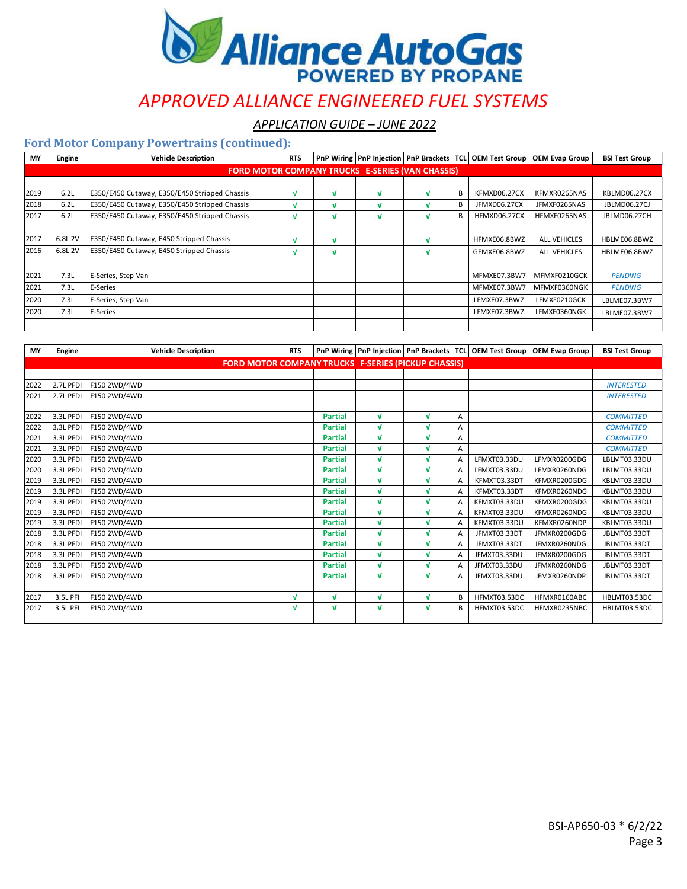

*APPLICATION GUIDE – JUNE 2022*

| <b>MY</b> | Engine  | <b>Vehicle Description</b>                              | <b>RTS</b> |   | <b>PnP Wiring   PnP Injection</b> | <b>PnP Brackets   TCL</b> |   | <b>OEM Test Group</b> | <b>OEM Evap Group</b> | <b>BSI Test Group</b> |
|-----------|---------|---------------------------------------------------------|------------|---|-----------------------------------|---------------------------|---|-----------------------|-----------------------|-----------------------|
|           |         | <b>FORD MOTOR COMPANY TRUCKS E-SERIES (VAN CHASSIS)</b> |            |   |                                   |                           |   |                       |                       |                       |
|           |         |                                                         |            |   |                                   |                           |   |                       |                       |                       |
| 2019      | 6.2L    | E350/E450 Cutaway, E350/E450 Stripped Chassis           | M          | v | N                                 |                           | В | KFMXD06.27CX          | KFMXR0265NAS          | KBLMD06.27CX          |
| 2018      | 6.2L    | E350/E450 Cutaway, E350/E450 Stripped Chassis           | M          | N | N                                 |                           | B | JFMXD06.27CX          | JFMXF0265NAS          | JBLMD06.27CJ          |
| 2017      | 6.2L    | E350/E450 Cutaway, E350/E450 Stripped Chassis           | M          | v | N                                 |                           | B | HFMXD06.27CX          | HFMXF0265NAS          | JBLMD06.27CH          |
|           |         |                                                         |            |   |                                   |                           |   |                       |                       |                       |
| 2017      | 6.8L 2V | E350/E450 Cutaway, E450 Stripped Chassis                | M          | v |                                   |                           |   | HFMXE06.8BWZ          | <b>ALL VEHICLES</b>   | HBLME06.8BWZ          |
| 2016      | 6.8L 2V | E350/E450 Cutaway, E450 Stripped Chassis                | M          | N |                                   |                           |   | GFMXE06.8BWZ          | <b>ALL VEHICLES</b>   | HBLME06.8BWZ          |
|           |         |                                                         |            |   |                                   |                           |   |                       |                       |                       |
| 2021      | 7.3L    | E-Series, Step Van                                      |            |   |                                   |                           |   | MFMXE07.3BW7          | MFMXF0210GCK          | <b>PENDING</b>        |
| 2021      | 7.3L    | E-Series                                                |            |   |                                   |                           |   | MFMXE07.3BW7          | MFMXF0360NGK          | <b>PENDING</b>        |
| 2020      | 7.3L    | E-Series, Step Van                                      |            |   |                                   |                           |   | LFMXE07.3BW7          | LFMXF0210GCK          | LBLME07.3BW7          |
| 2020      | 7.3L    | E-Series                                                |            |   |                                   |                           |   | LFMXE07.3BW7          | LFMXF0360NGK          | LBLME07.3BW7          |
|           |         |                                                         |            |   |                                   |                           |   |                       |                       |                       |

| <b>MY</b> | <b>Engine</b> | <b>Vehicle Description</b>                                 | <b>RTS</b> |                |              |              |   | PnP Wiring   PnP Injection   PnP Brackets   TCL   OEM Test Group | <b>OEM Evap Group</b> | <b>BSI Test Group</b> |
|-----------|---------------|------------------------------------------------------------|------------|----------------|--------------|--------------|---|------------------------------------------------------------------|-----------------------|-----------------------|
|           |               | <b>FORD MOTOR COMPANY TRUCKS F-SERIES (PICKUP CHASSIS)</b> |            |                |              |              |   |                                                                  |                       |                       |
|           |               |                                                            |            |                |              |              |   |                                                                  |                       |                       |
| 2022      | 2.7L PFDI     | F150 2WD/4WD                                               |            |                |              |              |   |                                                                  |                       | <b>INTERESTED</b>     |
| 2021      | 2.7L PFDI     | F150 2WD/4WD                                               |            |                |              |              |   |                                                                  |                       | <b>INTERESTED</b>     |
|           |               |                                                            |            |                |              |              |   |                                                                  |                       |                       |
| 2022      | 3.3L PFDI     | F150 2WD/4WD                                               |            | <b>Partial</b> | V            | V            | А |                                                                  |                       | <b>COMMITTED</b>      |
| 2022      | 3.3L PFDI     | F150 2WD/4WD                                               |            | <b>Partial</b> | M            | V            | А |                                                                  |                       | <b>COMMITTED</b>      |
| 2021      | 3.3L PFDI     | F150 2WD/4WD                                               |            | <b>Partial</b> | V            | V            | A |                                                                  |                       | <b>COMMITTED</b>      |
| 2021      | 3.3L PFDI     | F150 2WD/4WD                                               |            | <b>Partial</b> | $\mathbf{v}$ | V            | Α |                                                                  |                       | <b>COMMITTED</b>      |
| 2020      | 3.3L PFDI     | F150 2WD/4WD                                               |            | <b>Partial</b> | $\mathbf{v}$ | V            | А | LFMXT03.33DU                                                     | LFMXR0200GDG          | LBLMT03.33DU          |
| 2020      | 3.3L PFDI     | F150 2WD/4WD                                               |            | <b>Partial</b> | V            | V            | A | LFMXT03.33DU                                                     | LFMXR0260NDG          | LBLMT03.33DU          |
| 2019      | 3.3L PFDI     | F150 2WD/4WD                                               |            | <b>Partial</b> | V            | V            | А | KFMXT03.33DT                                                     | KFMXR0200GDG          | KBLMT03.33DU          |
| 2019      | 3.3L PFDI     | F150 2WD/4WD                                               |            | <b>Partial</b> | V            | V            | А | KFMXT03.33DT                                                     | KFMXR0260NDG          | KBLMT03.33DU          |
| 2019      | 3.3L PFDI     | F150 2WD/4WD                                               |            | <b>Partial</b> | $\mathbf{v}$ | $\mathbf{v}$ | A | KFMXT03.33DU                                                     | KFMXR0200GDG          | KBLMT03.33DU          |
| 2019      | 3.3L PFDI     | F150 2WD/4WD                                               |            | <b>Partial</b> | M            | V            | А | KFMXT03.33DU                                                     | KFMXR0260NDG          | KBLMT03.33DU          |
| 2019      | 3.3L PFDI     | F150 2WD/4WD                                               |            | <b>Partial</b> | $\mathbf{v}$ | V            | А | KFMXT03.33DU                                                     | KFMXR0260NDP          | KBLMT03.33DU          |
| 2018      | 3.3L PFDI     | F150 2WD/4WD                                               |            | <b>Partial</b> | V            | V            | A | JFMXT03.33DT                                                     | JFMXR0200GDG          | JBLMT03.33DT          |
| 2018      | 3.3L PFDI     | F150 2WD/4WD                                               |            | <b>Partial</b> | V            | V            | А | JFMXT03.33DT                                                     | JFMXR0260NDG          | JBLMT03.33DT          |
| 2018      | 3.3L PFDI     | F150 2WD/4WD                                               |            | <b>Partial</b> | $\mathbf{v}$ | V            | A | JFMXT03.33DU                                                     | JFMXR0200GDG          | JBLMT03.33DT          |
| 2018      | 3.3L PFDI     | F150 2WD/4WD                                               |            | <b>Partial</b> | $\mathbf{v}$ | V            | А | JFMXT03.33DU                                                     | JFMXR0260NDG          | JBLMT03.33DT          |
| 2018      | 3.3L PFDI     | F150 2WD/4WD                                               |            | <b>Partial</b> | $\mathbf{v}$ | $\mathbf{v}$ | А | JFMXT03.33DU                                                     | JFMXR0260NDP          | JBLMT03.33DT          |
|           |               |                                                            |            |                |              |              |   |                                                                  |                       |                       |
| 2017      | 3.5L PFI      | F150 2WD/4WD                                               | M          | V              | V            | V            | В | HFMXT03.53DC                                                     | HFMXR0160ABC          | HBLMT03.53DC          |
| 2017      | 3.5L PFI      | F150 2WD/4WD                                               | v          | V              | V            | v            | В | HFMXT03.53DC                                                     | HFMXR0235NBC          | HBLMT03.53DC          |
|           |               |                                                            |            |                |              |              |   |                                                                  |                       |                       |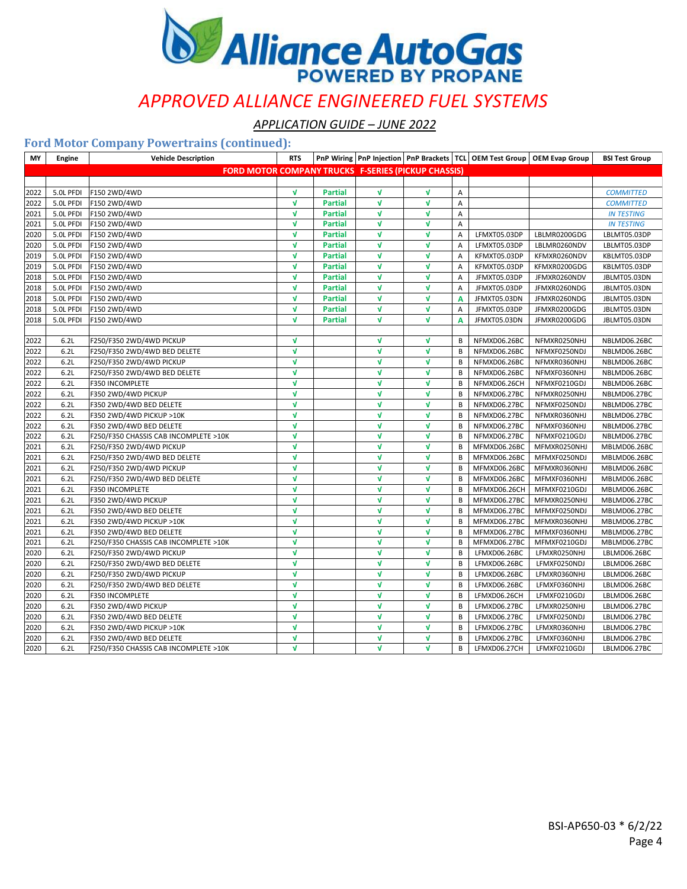

*APPLICATION GUIDE – JUNE 2022*

| MY   | Engine    | <b>Vehicle Description</b>                                 | <b>RTS</b>   |                |              |              |                |              | PnP Wiring   PnP Injection   PnP Brackets   TCL   OEM Test Group   OEM Evap Group | <b>BSI Test Group</b> |
|------|-----------|------------------------------------------------------------|--------------|----------------|--------------|--------------|----------------|--------------|-----------------------------------------------------------------------------------|-----------------------|
|      |           | <b>FORD MOTOR COMPANY TRUCKS F-SERIES (PICKUP CHASSIS)</b> |              |                |              |              |                |              |                                                                                   |                       |
|      |           |                                                            |              |                |              |              |                |              |                                                                                   |                       |
| 2022 | 5.0L PFDI | F150 2WD/4WD                                               | $\sqrt{ }$   | <b>Partial</b> | $\mathbf v$  | V            | Α              |              |                                                                                   | <b>COMMITTED</b>      |
| 2022 | 5.0L PFDI | F150 2WD/4WD                                               | $\sqrt{ }$   | <b>Partial</b> | $\mathbf v$  | $\mathbf{v}$ | $\overline{A}$ |              |                                                                                   | <b>COMMITTED</b>      |
| 2021 | 5.0L PFDI | F150 2WD/4WD                                               | V            | <b>Partial</b> | $\mathbf v$  | V            | Α              |              |                                                                                   | <b>IN TESTING</b>     |
| 2021 | 5.0L PFDI | F150 2WD/4WD                                               | V            | <b>Partial</b> | V            | V            | Α              |              |                                                                                   | <b>IN TESTING</b>     |
| 2020 | 5.0L PFDI | F150 2WD/4WD                                               | $\sqrt{ }$   | <b>Partial</b> | $\sqrt{ }$   | V            | Α              | LFMXT05.03DP | LBLMR0200GDG                                                                      | LBLMT05.03DP          |
| 2020 | 5.0L PFDI | F150 2WD/4WD                                               | V            | <b>Partial</b> | v            | V            | Α              | LFMXT05.03DP | LBLMR0260NDV                                                                      | LBLMT05.03DP          |
| 2019 | 5.0L PFDI | F150 2WD/4WD                                               | V            | <b>Partial</b> | $\mathbf v$  | V            | Α              | KFMXT05.03DP | KFMXR0260NDV                                                                      | KBLMT05.03DP          |
| 2019 | 5.0L PFDI | F150 2WD/4WD                                               | V            | <b>Partial</b> | $\mathbf v$  | V            | Α              | KFMXT05.03DP | KFMXR0200GDG                                                                      | KBLMT05.03DP          |
| 2018 | 5.0L PFDI | F150 2WD/4WD                                               | V            | <b>Partial</b> | $\mathbf{v}$ | $\mathbf{v}$ | A              | JFMXT05.03DP | JFMXR0260NDV                                                                      | JBLMT05.03DN          |
| 2018 | 5.0L PFDI | F150 2WD/4WD                                               | V            | <b>Partial</b> | $\mathbf v$  | V            | $\overline{A}$ | JFMXT05.03DP | JFMXR0260NDG                                                                      | JBLMT05.03DN          |
| 2018 | 5.0L PFDI | F150 2WD/4WD                                               | V            | <b>Partial</b> | v            | V            | A              | JFMXT05.03DN | JFMXR0260NDG                                                                      | JBLMT05.03DN          |
| 2018 | 5.0L PFDI | F150 2WD/4WD                                               | V            | <b>Partial</b> | $\mathbf{v}$ | $\mathbf{v}$ | $\overline{A}$ | JFMXT05.03DP | JFMXR0200GDG                                                                      | JBLMT05.03DN          |
| 2018 | 5.0L PFDI | F150 2WD/4WD                                               | V            | <b>Partial</b> | V            | V            | A              | JFMXT05.03DN | JFMXR0200GDG                                                                      | JBLMT05.03DN          |
|      |           |                                                            |              |                |              |              |                |              |                                                                                   |                       |
| 2022 | 6.2L      | F250/F350 2WD/4WD PICKUP                                   | V            |                | $\mathbf v$  | V            | B              | NFMXD06.26BC | NFMXR0250NHJ                                                                      | NBLMD06.26BC          |
| 2022 | 6.2L      | F250/F350 2WD/4WD BED DELETE                               | V            |                | $\mathbf v$  | V            | В              | NFMXD06.26BC | NFMXF0250NDJ                                                                      | NBLMD06.26BC          |
| 2022 | 6.2L      | F250/F350 2WD/4WD PICKUP                                   | V            |                | V            | V            | B              | NFMXD06.26BC | NFMXR0360NHJ                                                                      | NBLMD06.26BC          |
| 2022 | 6.2L      | F250/F350 2WD/4WD BED DELETE                               | V            |                | $\mathbf v$  | V            | B              | NFMXD06.26BC | NFMXF0360NHJ                                                                      | NBLMD06.26BC          |
| 2022 | 6.2L      | F350 INCOMPLETE                                            | V            |                | $\mathbf v$  | V            | В              | NFMXD06.26CH | NFMXF0210GDJ                                                                      | NBLMD06.26BC          |
| 2022 | 6.2L      | F350 2WD/4WD PICKUP                                        | V            |                | V            | V            | В              | NFMXD06.27BC | NFMXR0250NHJ                                                                      | NBLMD06.27BC          |
| 2022 | 6.2L      | F350 2WD/4WD BED DELETE                                    | V            |                | V            | $\mathbf{v}$ | B              | NFMXD06.27BC | NFMXF0250NDJ                                                                      | NBLMD06.27BC          |
| 2022 | 6.2L      | F350 2WD/4WD PICKUP >10K                                   | V            |                | $\mathbf v$  | V            | B              | NFMXD06.27BC | NFMXR0360NHJ                                                                      | NBLMD06.27BC          |
| 2022 | 6.2L      | F350 2WD/4WD BED DELETE                                    | V            |                | $\mathbf v$  | V            | B              | NFMXD06.27BC | NFMXF0360NHJ                                                                      | NBLMD06.27BC          |
| 2022 | 6.2L      | F250/F350 CHASSIS CAB INCOMPLETE >10K                      | V            |                | $\mathbf{v}$ | $\mathbf{v}$ | B              | NFMXD06.27BC | NFMXF0210GDJ                                                                      | NBLMD06.27BC          |
| 2021 | 6.2L      | F250/F350 2WD/4WD PICKUP                                   | V            |                | $\mathbf{v}$ | $\mathbf{v}$ | В              | MFMXD06.26BC | MFMXR0250NHJ                                                                      | MBLMD06.26BC          |
| 2021 | 6.2L      | F250/F350 2WD/4WD BED DELETE                               | V            |                | $\mathbf v$  | $\mathbf{v}$ | B              | MFMXD06.26BC | MFMXF0250NDJ                                                                      | MBLMD06.26BC          |
| 2021 | 6.2L      | F250/F350 2WD/4WD PICKUP                                   | V            |                | V            | V            | B              | MFMXD06.26BC | MFMXR0360NHJ                                                                      | MBLMD06.26BC          |
| 2021 | 6.2L      | F250/F350 2WD/4WD BED DELETE                               | V            |                | V            | V            | В              | MFMXD06.26BC | MFMXF0360NHJ                                                                      | MBLMD06.26BC          |
| 2021 | 6.2L      | F350 INCOMPLETE                                            | V            |                | V            | V            | В              | MFMXD06.26CH | MFMXF0210GDJ                                                                      | MBLMD06.26BC          |
| 2021 | 6.2L      | F350 2WD/4WD PICKUP                                        | V            |                | $\mathbf v$  | V            | B              | MFMXD06.27BC | MFMXR0250NHJ                                                                      | MBLMD06.27BC          |
| 2021 | 6.2L      | F350 2WD/4WD BED DELETE                                    | V            |                | $\mathbf{v}$ | V            | В              | MFMXD06.27BC | MFMXF0250NDJ                                                                      | MBLMD06.27BC          |
| 2021 | 6.2L      | F350 2WD/4WD PICKUP >10K                                   | V            |                | V            | V            | В              | MFMXD06.27BC | MFMXR0360NHJ                                                                      | MBLMD06.27BC          |
| 2021 | 6.2L      | F350 2WD/4WD BED DELETE                                    | $\mathbf{v}$ |                | V            | $\mathbf{v}$ | B              | MFMXD06.27BC | MFMXF0360NHJ                                                                      | MBLMD06.27BC          |
| 2021 | 6.2L      | F250/F350 CHASSIS CAB INCOMPLETE >10K                      | $\mathbf{v}$ |                | V            | V            | B              | MFMXD06.27BC | MFMXF0210GDJ                                                                      | MBLMD06.27BC          |
| 2020 | 6.2L      | F250/F350 2WD/4WD PICKUP                                   | V            |                | $\mathbf v$  | $\mathbf{v}$ | В              | LFMXD06.26BC | LFMXR0250NHJ                                                                      | LBLMD06.26BC          |
| 2020 | 6.2L      | F250/F350 2WD/4WD BED DELETE                               | V            |                | v            | V            | B              | LFMXD06.26BC | LFMXF0250NDJ                                                                      | LBLMD06.26BC          |
| 2020 | 6.2L      | F250/F350 2WD/4WD PICKUP                                   | V            |                | $\mathbf{v}$ | $\mathbf{v}$ | B              | LFMXD06.26BC | LFMXR0360NHJ                                                                      | LBLMD06.26BC          |
| 2020 | 6.2L      | F250/F350 2WD/4WD BED DELETE                               | V            |                | V            | V            | В              | LFMXD06.26BC | LFMXF0360NHJ                                                                      | LBLMD06.26BC          |
| 2020 | 6.2L      | <b>F350 INCOMPLETE</b>                                     | V            |                | V            | $\sqrt{ }$   | B              | LFMXD06.26CH | LFMXF0210GDJ                                                                      | LBLMD06.26BC          |
| 2020 | 6.2L      | F350 2WD/4WD PICKUP                                        | V            |                | $\mathbf v$  | $\mathbf{v}$ | B              | LFMXD06.27BC | LFMXR0250NHJ                                                                      | LBLMD06.27BC          |
| 2020 | 6.2L      | F350 2WD/4WD BED DELETE                                    | V            |                | V            | V            | B              | LFMXD06.27BC | LFMXF0250NDJ                                                                      | LBLMD06.27BC          |
| 2020 | 6.2L      | F350 2WD/4WD PICKUP >10K                                   | V            |                | $\mathbf v$  | $\sqrt{ }$   | В              | LFMXD06.27BC | LFMXR0360NHJ                                                                      | LBLMD06.27BC          |
| 2020 | 6.2L      | F350 2WD/4WD BED DELETE                                    | V            |                | $\mathbf v$  | V            | В              | LFMXD06.27BC | LFMXF0360NHJ                                                                      | LBLMD06.27BC          |
| 2020 | 6.2L      | F250/F350 CHASSIS CAB INCOMPLETE >10K                      | V            |                | $\mathbf{v}$ | $\mathbf{v}$ | В              | LFMXD06.27CH | LFMXF0210GDJ                                                                      | LBLMD06.27BC          |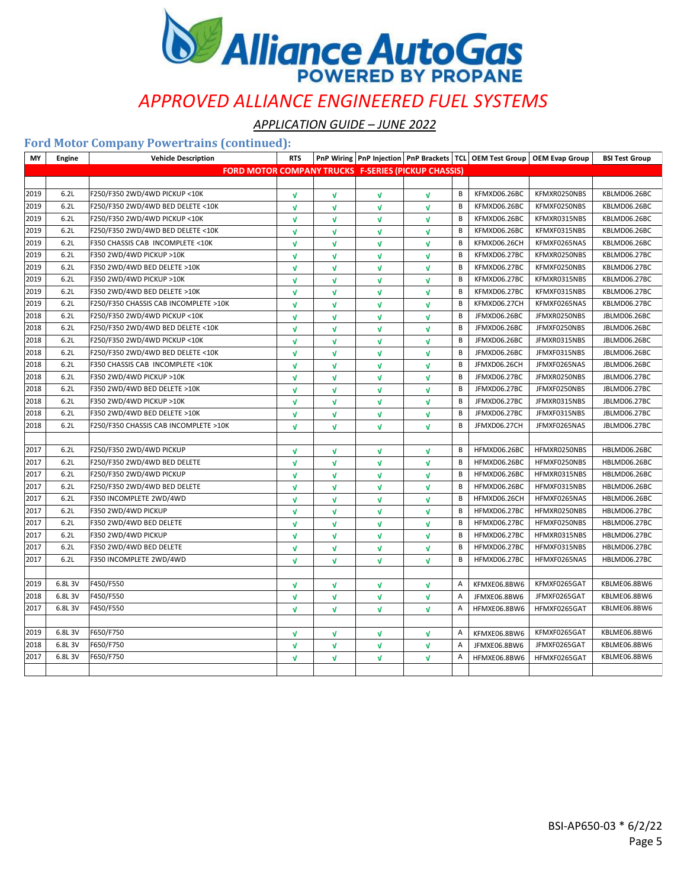

*APPLICATION GUIDE – JUNE 2022*

| MY   | <b>Engine</b> | <b>Vehicle Description</b>                                 | <b>RTS</b>   |              |              |              |   | PnP Wiring   PnP Injection   PnP Brackets   TCL   OEM Test Group   OEM Evap Group |              | <b>BSI Test Group</b> |
|------|---------------|------------------------------------------------------------|--------------|--------------|--------------|--------------|---|-----------------------------------------------------------------------------------|--------------|-----------------------|
|      |               | <b>FORD MOTOR COMPANY TRUCKS F-SERIES (PICKUP CHASSIS)</b> |              |              |              |              |   |                                                                                   |              |                       |
|      |               |                                                            |              |              |              |              |   |                                                                                   |              |                       |
| 2019 | 6.2L          | F250/F350 2WD/4WD PICKUP <10K                              | V            | V            | V            | $\sqrt{ }$   | B | KFMXD06.26BC                                                                      | KFMXR0250NBS | KBLMD06.26BC          |
| 2019 | 6.2L          | F250/F350 2WD/4WD BED DELETE <10K                          | $\mathbf{v}$ | V            | $\mathbf v$  | V            | В | KFMXD06.26BC                                                                      | KFMXF0250NBS | KBLMD06.26BC          |
| 2019 | 6.2L          | F250/F350 2WD/4WD PICKUP <10K                              | $\mathbf{v}$ | V            | $\mathbf{v}$ | V            | B | KFMXD06.26BC                                                                      | KFMXR0315NBS | KBLMD06.26BC          |
| 2019 | 6.2L          | F250/F350 2WD/4WD BED DELETE <10K                          | $\sqrt{ }$   | $\mathbf{v}$ | v            | $\mathbf{v}$ | B | KFMXD06.26BC                                                                      | KFMXF0315NBS | KBLMD06.26BC          |
| 2019 | 6.2L          | F350 CHASSIS CAB INCOMPLETE <10K                           | $\mathbf{v}$ | V            | V            | V            | В | KFMXD06.26CH                                                                      | KFMXF0265NAS | KBLMD06.26BC          |
| 2019 | 6.2L          | F350 2WD/4WD PICKUP >10K                                   | $\mathbf{v}$ | V            | $\mathbf{v}$ | V            | В | KFMXD06.27BC                                                                      | KFMXR0250NBS | KBLMD06.27BC          |
| 2019 | 6.2L          | F350 2WD/4WD BED DELETE >10K                               | $\sqrt{ }$   | V            | $\mathbf{v}$ | $\mathbf{v}$ | B | KFMXD06.27BC                                                                      | KFMXF0250NBS | KBLMD06.27BC          |
| 2019 | 6.2L          | F350 2WD/4WD PICKUP >10K                                   | $\sqrt{ }$   | V            | V            | V            | B | KFMXD06.27BC                                                                      | KFMXR0315NBS | KBLMD06.27BC          |
| 2019 | 6.2L          | F350 2WD/4WD BED DELETE >10K                               | $\mathbf{v}$ | V            | V            | V            | B | KFMXD06.27BC                                                                      | KFMXF0315NBS | KBLMD06.27BC          |
| 2019 | 6.2L          | F250/F350 CHASSIS CAB INCOMPLETE >10K                      | $\mathbf{v}$ | $\mathbf{v}$ | $\mathbf{v}$ | V            | В | KFMXD06.27CH                                                                      | KFMXF0265NAS | KBLMD06.27BC          |
| 2018 | 6.2L          | F250/F350 2WD/4WD PICKUP <10K                              | $\sqrt{ }$   | V            | $\mathbf{v}$ | V            | В | JFMXD06.26BC                                                                      | JFMXR0250NBS | JBLMD06.26BC          |
| 2018 | 6.2L          | F250/F350 2WD/4WD BED DELETE <10K                          | $\sqrt{ }$   | V            | V            | V            | B | JFMXD06.26BC                                                                      | JFMXF0250NBS | JBLMD06.26BC          |
| 2018 | 6.2L          | F250/F350 2WD/4WD PICKUP < 10K                             | $\sqrt{ }$   | V            | V            | V            | В | JFMXD06.26BC                                                                      | JFMXR0315NBS | JBLMD06.26BC          |
| 2018 | 6.2L          | F250/F350 2WD/4WD BED DELETE <10K                          | $\mathbf{v}$ | V            | $\mathbf{v}$ | V            | B | JFMXD06.26BC                                                                      | JFMXF0315NBS | JBLMD06.26BC          |
| 2018 | 6.2L          | F350 CHASSIS CAB INCOMPLETE <10K                           | $\sqrt{ }$   | $\mathbf{v}$ | $\mathbf{v}$ | V            | В | JFMXD06.26CH                                                                      | JFMXF0265NAS | JBLMD06.26BC          |
| 2018 | 6.2L          | F350 2WD/4WD PICKUP >10K                                   | $\mathbf{v}$ | V            | V            | V            | B | JFMXD06.27BC                                                                      | JFMXR0250NBS | JBLMD06.27BC          |
| 2018 | 6.2L          | F350 2WD/4WD BED DELETE >10K                               | $\mathbf{v}$ | V            | $\mathbf{v}$ | V            | В | JFMXD06.27BC                                                                      | JFMXF0250NBS | JBLMD06.27BC          |
| 2018 | 6.2L          | F350 2WD/4WD PICKUP >10K                                   | $\mathbf{v}$ | V            | $\mathbf{v}$ | V            | B | JFMXD06.27BC                                                                      | JFMXR0315NBS | JBLMD06.27BC          |
| 2018 | 6.2L          | F350 2WD/4WD BED DELETE >10K                               | $\sqrt{ }$   | V            | V            | V            | B | JFMXD06.27BC                                                                      | JFMXF0315NBS | JBLMD06.27BC          |
| 2018 | 6.2L          | F250/F350 CHASSIS CAB INCOMPLETE >10K                      | $\sqrt{ }$   | V            | V            | $\mathbf{v}$ | В | JFMXD06.27CH                                                                      | JFMXF0265NAS | JBLMD06.27BC          |
|      |               |                                                            |              |              |              |              |   |                                                                                   |              |                       |
| 2017 | 6.2L          | F250/F350 2WD/4WD PICKUP                                   | $\sqrt{ }$   | V            | $\mathbf v$  | V            | B | HFMXD06.26BC                                                                      | HFMXR0250NBS | HBLMD06.26BC          |
| 2017 | 6.2L          | F250/F350 2WD/4WD BED DELETE                               | $\sqrt{ }$   | V            | V            | V            | B | HFMXD06.26BC                                                                      | HFMXF0250NBS | HBLMD06.26BC          |
| 2017 | 6.2L          | F250/F350 2WD/4WD PICKUP                                   | $\mathbf{v}$ | V            | V            | V            | В | HFMXD06.26BC                                                                      | HFMXR0315NBS | HBLMD06.26BC          |
| 2017 | 6.2L          | F250/F350 2WD/4WD BED DELETE                               | $\mathbf{v}$ | V            | $\mathbf{v}$ | V            | B | HFMXD06.26BC                                                                      | HFMXF0315NBS | HBLMD06.26BC          |
| 2017 | 6.2L          | F350 INCOMPLETE 2WD/4WD                                    | $\mathbf{v}$ | V            | $\mathbf{v}$ | V            | В | HFMXD06.26CH                                                                      | HFMXF0265NAS | HBLMD06.26BC          |
| 2017 | 6.2L          | F350 2WD/4WD PICKUP                                        | $\mathbf{v}$ | V            | V            | V            | B | HFMXD06.27BC                                                                      | HFMXR0250NBS | HBLMD06.27BC          |
| 2017 | 6.2L          | F350 2WD/4WD BED DELETE                                    | $\mathbf{v}$ | V            | $\mathbf{v}$ | V            | В | HFMXD06.27BC                                                                      | HFMXF0250NBS | HBLMD06.27BC          |
| 2017 | 6.2L          | F350 2WD/4WD PICKUP                                        | $\mathbf{v}$ | $\mathbf{v}$ | $\mathbf{v}$ | V            | B | HFMXD06.27BC                                                                      | HFMXR0315NBS | HBLMD06.27BC          |
| 2017 | 6.2L          | F350 2WD/4WD BED DELETE                                    | $\sqrt{ }$   | V            | $\mathbf{v}$ | $\mathbf{v}$ | B | HFMXD06.27BC                                                                      | HFMXF0315NBS | HBLMD06.27BC          |
| 2017 | 6.2L          | F350 INCOMPLETE 2WD/4WD                                    | $\mathbf{v}$ | V            | V            | V            | В | HFMXD06.27BC                                                                      | HFMXF0265NAS | HBLMD06.27BC          |
|      |               |                                                            |              |              |              |              |   |                                                                                   |              |                       |
| 2019 | 6.8L3V        | F450/F550                                                  | $\sqrt{ }$   | V            | $\mathbf{v}$ | V            | Α | KFMXE06.8BW6                                                                      | KFMXF0265GAT | KBLME06.8BW6          |
| 2018 | 6.8L3V        | F450/F550                                                  | $\sqrt{ }$   | V            | V            | V            | А | JFMXE06.8BW6                                                                      | JFMXF0265GAT | KBLME06.8BW6          |
| 2017 | 6.8L3V        | F450/F550                                                  | $\sqrt{ }$   | V            | V            | V            | Α | HFMXE06.8BW6                                                                      | HFMXF0265GAT | KBLME06.8BW6          |
|      |               |                                                            |              |              |              |              |   |                                                                                   |              |                       |
| 2019 | 6.8L3V        | F650/F750                                                  | $\sqrt{ }$   | V            | $\mathbf v$  | V            | А | KFMXE06.8BW6                                                                      | KFMXF0265GAT | KBLME06.8BW6          |
| 2018 | 6.8L3V        | F650/F750                                                  | $\sqrt{ }$   | V            | V            | V            | Α | JFMXE06.8BW6                                                                      | JFMXF0265GAT | KBLME06.8BW6          |
| 2017 | 6.8L3V        | F650/F750                                                  | $\mathbf{v}$ | V            | V            | V            | Α | HFMXE06.8BW6                                                                      | HFMXF0265GAT | KBLME06.8BW6          |
|      |               |                                                            |              |              |              |              |   |                                                                                   |              |                       |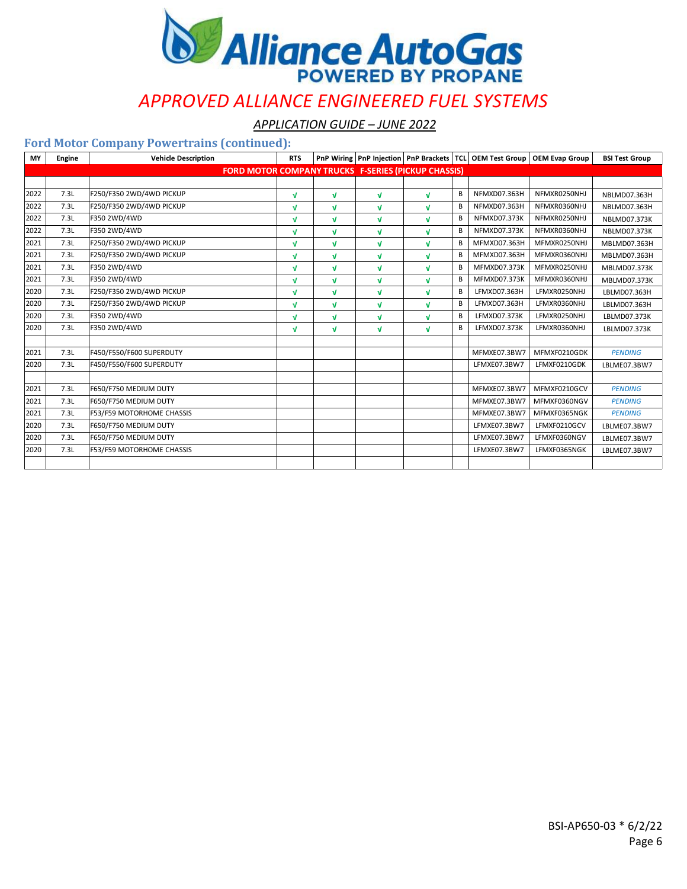

*APPLICATION GUIDE – JUNE 2022*

| <b>MY</b> | Engine | <b>Vehicle Description</b>                                 | <b>RTS</b> |              |              |              |   | PnP Wiring   PnP Injection   PnP Brackets   TCL   OEM Test Group | <b>OEM Evap Group</b> | <b>BSI Test Group</b> |
|-----------|--------|------------------------------------------------------------|------------|--------------|--------------|--------------|---|------------------------------------------------------------------|-----------------------|-----------------------|
|           |        | <b>FORD MOTOR COMPANY TRUCKS F-SERIES (PICKUP CHASSIS)</b> |            |              |              |              |   |                                                                  |                       |                       |
|           |        |                                                            |            |              |              |              |   |                                                                  |                       |                       |
| 2022      | 7.3L   | F250/F350 2WD/4WD PICKUP                                   | $\sqrt{ }$ | V            | V            | V            | В | NFMXD07.363H                                                     | NFMXR0250NHJ          | NBLMD07.363H          |
| 2022      | 7.3L   | F250/F350 2WD/4WD PICKUP                                   | $\sqrt{ }$ | V            | V            | $\mathbf{v}$ | В | NFMXD07.363H                                                     | NFMXR0360NHJ          | NBLMD07.363H          |
| 2022      | 7.3L   | F350 2WD/4WD                                               | M          | V            | M            | $\mathbf{v}$ | В | NFMXD07.373K                                                     | NFMXR0250NHJ          | <b>NBLMD07.373K</b>   |
| 2022      | 7.3L   | F350 2WD/4WD                                               | M          | V            | $\mathbf{v}$ | V            | В | NFMXD07.373K                                                     | NFMXR0360NHJ          | NBLMD07.373K          |
| 2021      | 7.3L   | F250/F350 2WD/4WD PICKUP                                   | $\sqrt{ }$ | $\mathbf{v}$ | $\mathbf{v}$ | $\mathbf{v}$ | В | MFMXD07.363H                                                     | MFMXR0250NHJ          | MBLMD07.363H          |
| 2021      | 7.3L   | F250/F350 2WD/4WD PICKUP                                   | M          | V            | $\mathbf{v}$ | V            | В | MFMXD07.363H                                                     | MFMXR0360NHJ          | MBLMD07.363H          |
| 2021      | 7.3L   | F350 2WD/4WD                                               | M          | V            | $\mathbf{v}$ | $\mathbf{v}$ | В | MFMXD07.373K                                                     | MFMXR0250NHJ          | MBLMD07.373K          |
| 2021      | 7.3L   | F350 2WD/4WD                                               | $\sqrt{ }$ | V            | $\mathbf{v}$ | $\sqrt{ }$   | В | <b>MFMXD07.373K</b>                                              | MFMXR0360NHJ          | MBLMD07.373K          |
| 2020      | 7.3L   | F250/F350 2WD/4WD PICKUP                                   | $\sqrt{ }$ | V            | V            | $\sqrt{ }$   | В | LFMXD07.363H                                                     | LFMXR0250NHJ          | LBLMD07.363H          |
| 2020      | 7.3L   | F250/F350 2WD/4WD PICKUP                                   | M          | V            | $\mathbf{v}$ | $\mathbf{v}$ | В | LFMXD07.363H                                                     | LFMXR0360NHJ          | LBLMD07.363H          |
| 2020      | 7.3L   | F350 2WD/4WD                                               | V          | V            | $\mathbf{v}$ | $\sqrt{ }$   | В | LFMXD07.373K                                                     | LFMXR0250NHJ          | LBLMD07.373K          |
| 2020      | 7.3L   | F350 2WD/4WD                                               | $\sqrt{ }$ | V            | $\mathbf{v}$ | $\mathbf{v}$ | В | LFMXD07.373K                                                     | LFMXR0360NHJ          | LBLMD07.373K          |
|           |        |                                                            |            |              |              |              |   |                                                                  |                       |                       |
| 2021      | 7.3L   | F450/F550/F600 SUPERDUTY                                   |            |              |              |              |   | MFMXE07.3BW7                                                     | MFMXF0210GDK          | <b>PENDING</b>        |
| 2020      | 7.3L   | F450/F550/F600 SUPERDUTY                                   |            |              |              |              |   | LFMXE07.3BW7                                                     | LFMXF0210GDK          | LBLME07.3BW7          |
|           |        |                                                            |            |              |              |              |   |                                                                  |                       |                       |
| 2021      | 7.3L   | F650/F750 MEDIUM DUTY                                      |            |              |              |              |   | MFMXE07.3BW7                                                     | MFMXF0210GCV          | <b>PENDING</b>        |
| 2021      | 7.3L   | F650/F750 MEDIUM DUTY                                      |            |              |              |              |   | MFMXE07.3BW7                                                     | MFMXF0360NGV          | <b>PENDING</b>        |
| 2021      | 7.3L   | <b>F53/F59 MOTORHOME CHASSIS</b>                           |            |              |              |              |   | MFMXE07.3BW7                                                     | MFMXF0365NGK          | <b>PENDING</b>        |
| 2020      | 7.3L   | F650/F750 MEDIUM DUTY                                      |            |              |              |              |   | LFMXE07.3BW7                                                     | LFMXF0210GCV          | LBLME07.3BW7          |
| 2020      | 7.3L   | F650/F750 MEDIUM DUTY                                      |            |              |              |              |   | LFMXE07.3BW7                                                     | LFMXF0360NGV          | LBLME07.3BW7          |
| 2020      | 7.3L   | F53/F59 MOTORHOME CHASSIS                                  |            |              |              |              |   | LFMXE07.3BW7                                                     | LFMXF0365NGK          | LBLME07.3BW7          |
|           |        |                                                            |            |              |              |              |   |                                                                  |                       |                       |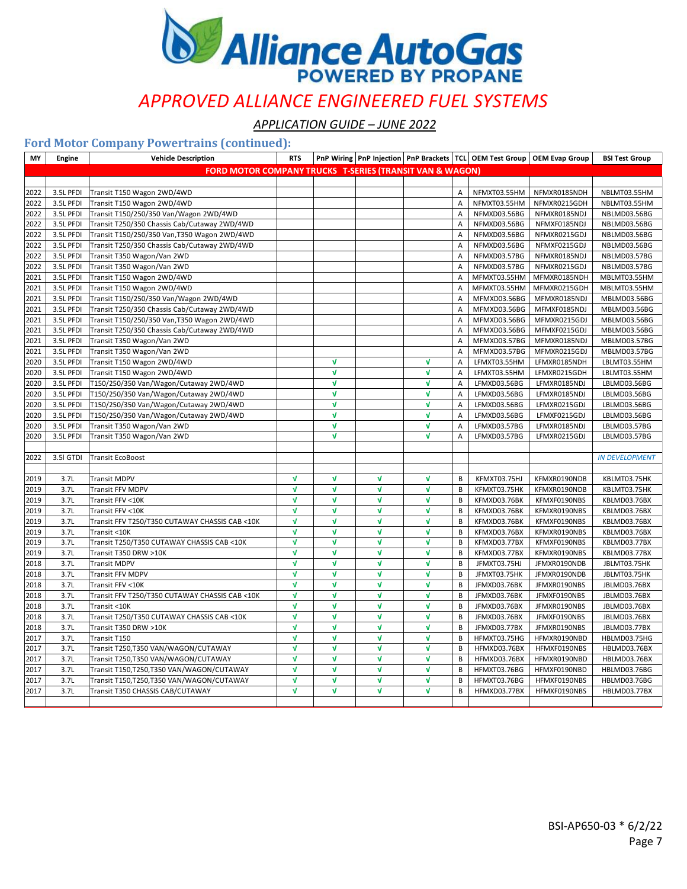

*APPLICATION GUIDE – JUNE 2022*

| MY   | Engine    | <b>Vehicle Description</b>                                          | <b>RTS</b>   |              |              |              |                |              | PnP Wiring PnP Injection PnP Brackets TCL OEM Test Group OEM Evap Group | <b>BSI Test Group</b> |
|------|-----------|---------------------------------------------------------------------|--------------|--------------|--------------|--------------|----------------|--------------|-------------------------------------------------------------------------|-----------------------|
|      |           | <b>FORD MOTOR COMPANY TRUCKS T-SERIES (TRANSIT VAN &amp; WAGON)</b> |              |              |              |              |                |              |                                                                         |                       |
|      |           |                                                                     |              |              |              |              |                |              |                                                                         |                       |
| 2022 | 3.5L PFDI | Transit T150 Wagon 2WD/4WD                                          |              |              |              |              | A              | NFMXT03.55HM | NFMXR0185NDH                                                            | NBLMT03.55HM          |
| 2022 | 3.5L PFDI | Transit T150 Wagon 2WD/4WD                                          |              |              |              |              | A              | NFMXT03.55HM | NFMXR0215GDH                                                            | NBLMT03.55HM          |
| 2022 | 3.5L PFDI | Transit T150/250/350 Van/Wagon 2WD/4WD                              |              |              |              |              | Α              | NFMXD03.56BG | NFMXR0185NDJ                                                            | NBLMD03.56BG          |
| 2022 | 3.5L PFDI | Transit T250/350 Chassis Cab/Cutaway 2WD/4WD                        |              |              |              |              | A              | NFMXD03.56BG | NFMXF0185NDJ                                                            | NBLMD03.56BG          |
| 2022 | 3.5L PFDI | Transit T150/250/350 Van, T350 Wagon 2WD/4WD                        |              |              |              |              | A              | NFMXD03.56BG | NFMXR0215GDJ                                                            | NBLMD03.56BG          |
| 2022 | 3.5L PFDI | Transit T250/350 Chassis Cab/Cutaway 2WD/4WD                        |              |              |              |              | А              | NFMXD03.56BG | NFMXF0215GDJ                                                            | NBLMD03.56BG          |
| 2022 | 3.5L PFDI | Transit T350 Wagon/Van 2WD                                          |              |              |              |              | $\overline{A}$ | NFMXD03.57BG | NFMXR0185NDJ                                                            | NBLMD03.57BG          |
| 2022 | 3.5L PFDI | Transit T350 Wagon/Van 2WD                                          |              |              |              |              | A              | NFMXD03.57BG | NFMXR0215GDJ                                                            | NBLMD03.57BG          |
| 2021 | 3.5L PFDI | Transit T150 Wagon 2WD/4WD                                          |              |              |              |              | Α              | MFMXT03.55HM | MFMXR0185NDH                                                            | MBLMT03.55HM          |
| 2021 | 3.5L PFDI | Transit T150 Wagon 2WD/4WD                                          |              |              |              |              | A              | MFMXT03.55HM | MFMXR0215GDH                                                            | MBLMT03.55HM          |
| 2021 | 3.5L PFDI | Transit T150/250/350 Van/Wagon 2WD/4WD                              |              |              |              |              | Α              | MFMXD03.56BG | MFMXR0185NDJ                                                            | MBLMD03.56BG          |
| 2021 | 3.5L PFDI | Transit T250/350 Chassis Cab/Cutaway 2WD/4WD                        |              |              |              |              | A              | MFMXD03.56BG | MFMXF0185NDJ                                                            | MBLMD03.56BG          |
| 2021 | 3.5L PFDI | Transit T150/250/350 Van, T350 Wagon 2WD/4WD                        |              |              |              |              | Α              | MFMXD03.56BG | MFMXR0215GDJ                                                            | MBLMD03.56BG          |
| 2021 | 3.5L PFDI | Transit T250/350 Chassis Cab/Cutaway 2WD/4WD                        |              |              |              |              | Α              | MFMXD03.56BG | MFMXF0215GDJ                                                            | MBLMD03.56BG          |
| 2021 | 3.5L PFDI | Transit T350 Wagon/Van 2WD                                          |              |              |              |              | A              | MFMXD03.57BG | MFMXR0185NDJ                                                            | MBLMD03.57BG          |
| 2021 | 3.5L PFDI | Transit T350 Wagon/Van 2WD                                          |              |              |              |              | Α              | MFMXD03.57BG | MFMXR0215GDJ                                                            | MBLMD03.57BG          |
| 2020 | 3.5L PFDI | Transit T150 Wagon 2WD/4WD                                          |              | V            |              | $\mathbf{v}$ | A              | LFMXT03.55HM | LFMXR0185NDH                                                            | LBLMT03.55HM          |
| 2020 | 3.5L PFDI | Transit T150 Wagon 2WD/4WD                                          |              | $\mathbf v$  |              | $\mathbf{v}$ | A              | LFMXT03.55HM | LFMXR0215GDH                                                            | LBLMT03.55HM          |
| 2020 | 3.5L PFDI | T150/250/350 Van/Wagon/Cutaway 2WD/4WD                              |              | $\mathbf v$  |              | $\mathbf{v}$ | А              | LFMXD03.56BG | LFMXR0185NDJ                                                            | LBLMD03.56BG          |
| 2020 | 3.5L PFDI | T150/250/350 Van/Wagon/Cutaway 2WD/4WD                              |              | $\mathbf{v}$ |              | $\mathbf{v}$ | Α              | LFMXD03.56BG | LFMXR0185NDJ                                                            | LBLMD03.56BG          |
| 2020 | 3.5L PFDI | T150/250/350 Van/Wagon/Cutaway 2WD/4WD                              |              | V            |              | $\mathbf{v}$ | A              | LFMXD03.56BG | LFMXR0215GDJ                                                            | LBLMD03.56BG          |
|      |           |                                                                     |              | V            |              | $\sqrt{ }$   |                |              |                                                                         |                       |
| 2020 | 3.5L PFDI | T150/250/350 Van/Wagon/Cutaway 2WD/4WD                              |              | V            |              | $\mathbf{v}$ | A              | LFMXD03.56BG | LFMXF0215GDJ                                                            | LBLMD03.56BG          |
| 2020 | 3.5L PFDI | Transit T350 Wagon/Van 2WD                                          |              | V            |              | $\mathbf{v}$ | Α              | LFMXD03.57BG | LFMXR0185NDJ                                                            | LBLMD03.57BG          |
| 2020 | 3.5L PFDI | Transit T350 Wagon/Van 2WD                                          |              |              |              |              | Α              | LFMXD03.57BG | LFMXR0215GDJ                                                            | LBLMD03.57BG          |
|      |           |                                                                     |              |              |              |              |                |              |                                                                         |                       |
| 2022 | 3.5I GTDI | <b>Transit EcoBoost</b>                                             |              |              |              |              |                |              |                                                                         | <b>IN DEVELOPMENT</b> |
|      |           |                                                                     | $\mathbf{v}$ | V            | $\mathbf{v}$ |              |                |              |                                                                         |                       |
| 2019 | 3.7L      | <b>Transit MDPV</b>                                                 |              |              |              | $\mathbf{v}$ | В              | KFMXT03.75HJ | KFMXR0190NDB                                                            | KBLMT03.75HK          |
| 2019 | 3.7L      | <b>Transit FFV MDPV</b>                                             | $\mathbf{V}$ | $\mathbf{v}$ | V            | $\mathbf{v}$ | В              | KFMXT03.75HK | KFMXR0190NDB                                                            | KBLMT03.75HK          |
| 2019 | 3.7L      | Transit FFV <10K                                                    | $\sqrt{ }$   | V            | $\mathbf v$  | $\sqrt{ }$   | В              | KFMXD03.76BK | KFMXF0190NBS                                                            | KBLMD03.76BX          |
| 2019 | 3.7L      | Transit FFV <10K                                                    | $\mathbf{V}$ | V            | V            | $\mathbf{v}$ | B              | KFMXD03.76BK | KFMXR0190NBS                                                            | KBLMD03.76BX          |
| 2019 | 3.7L      | Transit FFV T250/T350 CUTAWAY CHASSIS CAB <10K                      | $\sqrt{ }$   | $\mathbf{v}$ | V            | $\sqrt{ }$   | B              | KFMXD03.76BK | KFMXF0190NBS                                                            | KBLMD03.76BX          |
| 2019 | 3.7L      | Transit <10K                                                        | V            | V            | V            | $\mathbf{v}$ | B              | KFMXD03.76BX | KFMXR0190NBS                                                            | KBLMD03.76BX          |
| 2019 | 3.7L      | Transit T250/T350 CUTAWAY CHASSIS CAB <10K                          | $\mathbf{v}$ | V            | V            | $\mathbf{v}$ | B              | KFMXD03.77BX | KFMXF0190NBS                                                            | KBLMD03.77BX          |
| 2019 | 3.7L      | Transit T350 DRW >10K                                               | $\mathbf{V}$ | v            | V            | $\mathbf{v}$ | B              | KFMXD03.77BX | KFMXR0190NBS                                                            | KBLMD03.77BX          |
| 2018 | 3.7L      | <b>Transit MDPV</b>                                                 | $\mathbf{v}$ | $\mathbf{v}$ | V            | $\sqrt{ }$   | B              | JFMXT03.75HJ | JFMXR0190NDB                                                            | JBLMT03.75HK          |
| 2018 | 3.7L      | <b>Transit FFV MDPV</b>                                             | $\sqrt{ }$   | V            | V            | $\sqrt{ }$   | В              | JFMXT03.75HK | JFMXR0190NDB                                                            | JBLMT03.75HK          |
| 2018 | 3.7L      | Transit FFV <10K                                                    | $\mathbf{v}$ | $\mathbf{v}$ | V            | $\mathbf{v}$ | B              | JFMXD03.76BK | JFMXR0190NBS                                                            | JBLMD03.76BX          |
| 2018 | 3.7L      | Transit FFV T250/T350 CUTAWAY CHASSIS CAB <10K                      | $\mathbf{V}$ | V            | V            | $\mathbf{v}$ | B              | JFMXD03.76BK | JFMXF0190NBS                                                            | JBLMD03.76BX          |
| 2018 | 3.7L      | Transit <10K                                                        | $\sqrt{ }$   | V            | $\mathbf v$  | $\sqrt{ }$   | B              | JFMXD03.76BX | JFMXR0190NBS                                                            | JBLMD03.76BX          |
| 2018 | 3.7L      | Transit T250/T350 CUTAWAY CHASSIS CAB <10K                          | V            | $\mathbf{v}$ | V            | $\sqrt{ }$   | B              | JFMXD03.76BX | JFMXF0190NBS                                                            | JBLMD03.76BX          |
| 2018 | 3.7L      | Transit T350 DRW >10K                                               | $\sqrt{ }$   | V            | V            | $\sqrt{ }$   | B              | JFMXD03.77BX | JFMXR0190NBS                                                            | JBLMD03.77BX          |
| 2017 | 3.7L      | Transit T150                                                        | $\mathbf{v}$ | V            | $\mathbf v$  | $\mathbf{v}$ | B              | HFMXT03.75HG | HFMXR0190NBD                                                            | HBLMD03.75HG          |
| 2017 | 3.7L      | Transit T250,T350 VAN/WAGON/CUTAWAY                                 | $\mathbf v$  | V            | V            | $\mathbf{v}$ | В              | HFMXD03.76BX | HFMXF0190NBS                                                            | HBLMD03.76BX          |
| 2017 | 3.7L      | Transit T250,T350 VAN/WAGON/CUTAWAY                                 | V            | $\mathbf{v}$ | V            | $\mathbf{v}$ | B              | HFMXD03.76BX | HFMXR0190NBD                                                            | HBLMD03.76BX          |
| 2017 | 3.7L      | Transit T150,T250,T350 VAN/WAGON/CUTAWAY                            | V            | V            | V            | $\sqrt{ }$   | B              | HFMXT03.76BG | HFMXF0190NBD                                                            | HBLMD03.76BG          |
| 2017 | 3.7L      | Transit T150,T250,T350 VAN/WAGON/CUTAWAY                            | $\mathbf v$  | V            | V            | $\mathbf{v}$ | B              | HFMXT03.76BG | HFMXF0190NBS                                                            | HBLMD03.76BG          |
| 2017 | 3.7L      | Transit T350 CHASSIS CAB/CUTAWAY                                    | V            | <b>V</b>     | V            | $\mathbf{v}$ | B              | HFMXD03.77BX | HFMXF0190NBS                                                            | HBLMD03.77BX          |
|      |           |                                                                     |              |              |              |              |                |              |                                                                         |                       |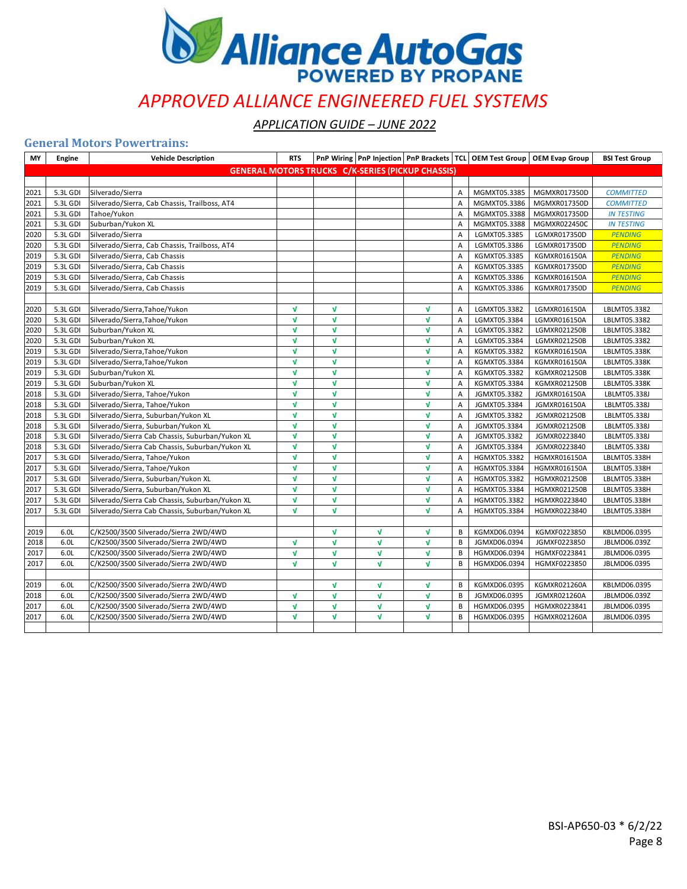

*APPLICATION GUIDE – JUNE 2022*

#### **General Motors Powertrains:**

| MY   | Engine   | <b>Vehicle Description</b>                      | <b>RTS</b>   |              |              |                                                          |   |              | PnP Wiring   PnP Injection   PnP Brackets   TCL   OEM Test Group   OEM Evap Group | <b>BSI Test Group</b> |
|------|----------|-------------------------------------------------|--------------|--------------|--------------|----------------------------------------------------------|---|--------------|-----------------------------------------------------------------------------------|-----------------------|
|      |          |                                                 |              |              |              | <b>GENERAL MOTORS TRUCKS C/K-SERIES (PICKUP CHASSIS)</b> |   |              |                                                                                   |                       |
|      |          |                                                 |              |              |              |                                                          |   |              |                                                                                   |                       |
| 2021 | 5.3L GDI | Silverado/Sierra                                |              |              |              |                                                          | A | MGMXT05.3385 | MGMXR017350D                                                                      | <b>COMMITTED</b>      |
| 2021 | 5.3L GDI | Silverado/Sierra, Cab Chassis, Trailboss, AT4   |              |              |              |                                                          | Α | MGMXT05.3386 | MGMXR017350D                                                                      | <b>COMMITTED</b>      |
| 2021 | 5.3L GDI | Tahoe/Yukon                                     |              |              |              |                                                          | A | MGMXT05.3388 | MGMXR017350D                                                                      | <b>IN TESTING</b>     |
| 2021 | 5.3L GDI | Suburban/Yukon XL                               |              |              |              |                                                          | A | MGMXT05.3388 | MGMXR022450C                                                                      | <b>IN TESTING</b>     |
| 2020 | 5.3L GDI | Silverado/Sierra                                |              |              |              |                                                          | A | LGMXT05.3385 | LGMXR017350D                                                                      | <b>PENDING</b>        |
| 2020 | 5.3L GDI | Silverado/Sierra, Cab Chassis, Trailboss, AT4   |              |              |              |                                                          | A | LGMXT05.3386 | LGMXR017350D                                                                      | <b>PENDING</b>        |
| 2019 | 5.3L GDI | Silverado/Sierra, Cab Chassis                   |              |              |              |                                                          | A | KGMXT05.3385 | KGMXR016150A                                                                      | <b>PENDING</b>        |
| 2019 | 5.3L GDI | Silverado/Sierra, Cab Chassis                   |              |              |              |                                                          | A | KGMXT05.3385 | KGMXR017350D                                                                      | <b>PENDING</b>        |
| 2019 | 5.3L GDI | Silverado/Sierra, Cab Chassis                   |              |              |              |                                                          | A | KGMXT05.3386 | KGMXR016150A                                                                      | <b>PENDING</b>        |
| 2019 | 5.3L GDI | Silverado/Sierra, Cab Chassis                   |              |              |              |                                                          | A | KGMXT05.3386 | KGMXR017350D                                                                      | <b>PENDING</b>        |
|      |          |                                                 |              |              |              |                                                          |   |              |                                                                                   |                       |
| 2020 | 5.3L GDI | Silverado/Sierra, Tahoe/Yukon                   | $\mathbf{v}$ | V            |              | $\sqrt{ }$                                               | Α | LGMXT05.3382 | LGMXR016150A                                                                      | LBLMT05.3382          |
| 2020 | 5.3L GDI | Silverado/Sierra, Tahoe/Yukon                   | $\mathbf{v}$ | V            |              | $\sqrt{ }$                                               | Α | LGMXT05.3384 | LGMXR016150A                                                                      | LBLMT05.3382          |
| 2020 | 5.3L GDI | Suburban/Yukon XL                               | $\mathbf{v}$ | V            |              | $\mathbf{v}$                                             | Α | LGMXT05.3382 | LGMXR021250B                                                                      | LBLMT05.3382          |
| 2020 | 5.3L GDI | Suburban/Yukon XL                               | $\mathbf{v}$ | $\mathbf{v}$ |              | $\mathbf{v}$                                             | A | LGMXT05.3384 | LGMXR021250B                                                                      | LBLMT05.3382          |
| 2019 | 5.3L GDI | Silverado/Sierra, Tahoe/Yukon                   | $\mathbf{v}$ | V            |              | $\sqrt{ }$                                               | A | KGMXT05.3382 | KGMXR016150A                                                                      | LBLMT05.338K          |
| 2019 | 5.3L GDI | Silverado/Sierra, Tahoe/Yukon                   | $\mathbf{v}$ | $\mathbf{v}$ |              | $\sqrt{ }$                                               | А | KGMXT05.3384 | KGMXR016150A                                                                      | LBLMT05.338K          |
| 2019 | 5.3L GDI | Suburban/Yukon XL                               | $\mathbf{v}$ | $\mathbf{v}$ |              | $\mathbf{v}$                                             | A | KGMXT05.3382 | KGMXR021250B                                                                      | LBLMT05.338K          |
| 2019 | 5.3L GDI | Suburban/Yukon XL                               | $\mathbf{v}$ | $\mathbf{v}$ |              | $\mathbf{v}$                                             | A | KGMXT05.3384 | KGMXR021250B                                                                      | LBLMT05.338K          |
| 2018 | 5.3L GDI | Silverado/Sierra, Tahoe/Yukon                   | $\sqrt{ }$   | V            |              | $\mathbf{v}$                                             | Α | JGMXT05.3382 | JGMXR016150A                                                                      | LBLMT05.338J          |
| 2018 | 5.3L GDI | Silverado/Sierra, Tahoe/Yukon                   | V            | V            |              | $\sqrt{ }$                                               | А | JGMXT05.3384 | JGMXR016150A                                                                      | LBLMT05.338J          |
| 2018 | 5.3L GDI | Silverado/Sierra, Suburban/Yukon XL             | $\mathbf{v}$ | $\mathbf{v}$ |              | $\mathbf{v}$                                             | A | JGMXT05.3382 | JGMXR021250B                                                                      | LBLMT05.338J          |
| 2018 | 5.3L GDI | Silverado/Sierra, Suburban/Yukon XL             | $\mathbf{v}$ | $\mathbf{v}$ |              | $\mathbf{v}$                                             | Α | JGMXT05.3384 | JGMXR021250B                                                                      | LBLMT05.338J          |
| 2018 | 5.3L GDI | Silverado/Sierra Cab Chassis, Suburban/Yukon XL | $\sqrt{ }$   | V            |              | $\sqrt{ }$                                               | A | JGMXT05.3382 | JGMXR0223840                                                                      | LBLMT05.338J          |
| 2018 | 5.3L GDI | Silverado/Sierra Cab Chassis, Suburban/Yukon XL | $\mathbf{v}$ | V            |              | $\mathbf{v}$                                             | A | JGMXT05.3384 | JGMXR0223840                                                                      | LBLMT05.338J          |
| 2017 | 5.3L GDI | Silverado/Sierra, Tahoe/Yukon                   | $\mathbf{v}$ | V            |              | $\mathbf{v}$                                             | А | HGMXT05.3382 | HGMXR016150A                                                                      | LBLMT05.338H          |
| 2017 | 5.3L GDI | Silverado/Sierra, Tahoe/Yukon                   | $\sqrt{ }$   | V            |              | $\sqrt{ }$                                               | A | HGMXT05.3384 | HGMXR016150A                                                                      | LBLMT05.338H          |
| 2017 | 5.3L GDI | Silverado/Sierra, Suburban/Yukon XL             | $\mathbf{v}$ | V            |              | $\mathbf{v}$                                             | А | HGMXT05.3382 | HGMXR021250B                                                                      | LBLMT05.338H          |
| 2017 | 5.3L GDI | Silverado/Sierra, Suburban/Yukon XL             | $\mathbf{v}$ | $\mathbf{v}$ |              | $\mathbf{v}$                                             | A | HGMXT05.3384 | HGMXR021250B                                                                      | LBLMT05.338H          |
| 2017 | 5.3L GDI | Silverado/Sierra Cab Chassis, Suburban/Yukon XL | $\sqrt{ }$   | V            |              | $\mathbf{v}$                                             | A | HGMXT05.3382 | HGMXR0223840                                                                      | LBLMT05.338H          |
| 2017 | 5.3L GDI | Silverado/Sierra Cab Chassis, Suburban/Yukon XL | $\mathbf{v}$ | $\mathbf{v}$ |              | $\mathbf{v}$                                             | А | HGMXT05.3384 | HGMXR0223840                                                                      | LBLMT05.338H          |
|      |          |                                                 |              |              |              |                                                          |   |              |                                                                                   |                       |
| 2019 | 6.OL     | C/K2500/3500 Silverado/Sierra 2WD/4WD           |              | V            | $\mathbf v$  | $\sqrt{ }$                                               | B | KGMXD06.0394 | KGMXF0223850                                                                      | KBLMD06.0395          |
| 2018 | 6.0L     | C/K2500/3500 Silverado/Sierra 2WD/4WD           | $\mathbf{v}$ | V            | $\mathbf v$  | $\mathbf{v}$                                             | B | JGMXD06.0394 | JGMXF0223850                                                                      | JBLMD06.039Z          |
| 2017 | 6.0L     | C/K2500/3500 Silverado/Sierra 2WD/4WD           | V            | $\mathbf{v}$ | $\mathbf{v}$ | $\mathbf{v}$                                             | B | HGMXD06.0394 | HGMXF0223841                                                                      | JBLMD06.0395          |
| 2017 | 6.0L     | C/K2500/3500 Silverado/Sierra 2WD/4WD           | $\mathbf{v}$ | $\mathbf{v}$ | $\mathbf{v}$ | $\mathbf{v}$                                             | B | HGMXD06.0394 | HGMXF0223850                                                                      | JBLMD06.0395          |
|      |          |                                                 |              |              |              |                                                          |   |              |                                                                                   |                       |
| 2019 | 6.0L     | C/K2500/3500 Silverado/Sierra 2WD/4WD           |              | V            | V            | $\sqrt{ }$                                               | В | KGMXD06.0395 | KGMXR021260A                                                                      | KBLMD06.0395          |
| 2018 | 6.OL     | C/K2500/3500 Silverado/Sierra 2WD/4WD           | V            | V            | V            | $\sqrt{ }$                                               | В | JGMXD06.0395 | JGMXR021260A                                                                      | JBLMD06.039Z          |
| 2017 | 6.OL     | C/K2500/3500 Silverado/Sierra 2WD/4WD           | $\mathbf{v}$ | V            | V            | $\mathbf{v}$                                             | B | HGMXD06.0395 | HGMXR0223841                                                                      | JBLMD06.0395          |
| 2017 | 6.0L     | C/K2500/3500 Silverado/Sierra 2WD/4WD           | $\mathbf{v}$ | $\mathbf{v}$ | V            | $\sqrt{ }$                                               | B | HGMXD06.0395 | HGMXR021260A                                                                      | JBLMD06.0395          |
|      |          |                                                 |              |              |              |                                                          |   |              |                                                                                   |                       |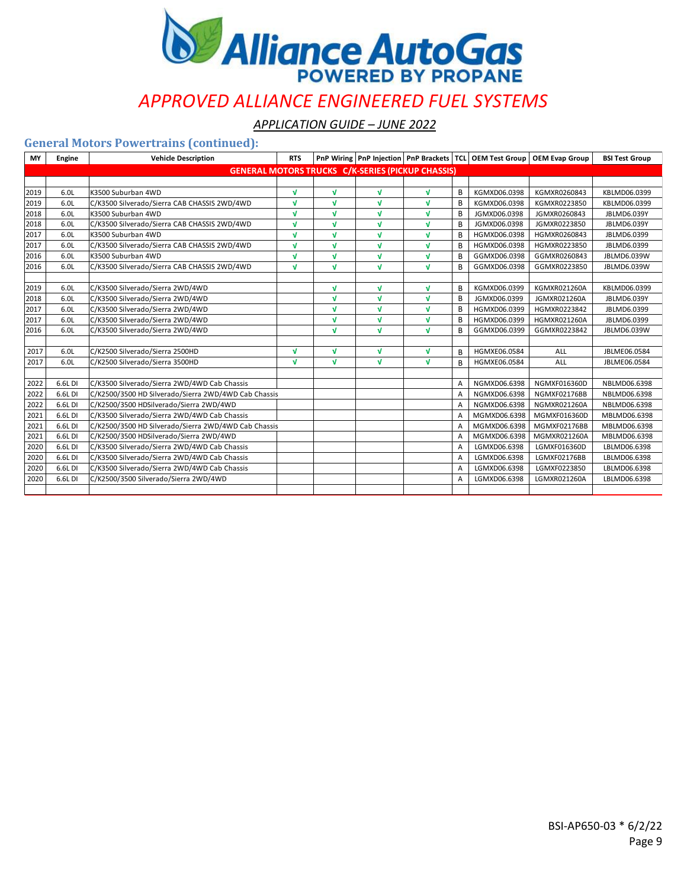

*APPLICATION GUIDE – JUNE 2022*

### **General Motors Powertrains (continued):**

| MY   | Engine           | <b>Vehicle Description</b>                           | <b>RTS</b>   |              |              |                                                          |   |              | PnP Wiring   PnP Injection   PnP Brackets   TCL   OEM Test Group   OEM Evap Group | <b>BSI Test Group</b> |
|------|------------------|------------------------------------------------------|--------------|--------------|--------------|----------------------------------------------------------|---|--------------|-----------------------------------------------------------------------------------|-----------------------|
|      |                  |                                                      |              |              |              | <b>GENERAL MOTORS TRUCKS C/K-SERIES (PICKUP CHASSIS)</b> |   |              |                                                                                   |                       |
|      |                  |                                                      |              |              |              |                                                          |   |              |                                                                                   |                       |
| 2019 | 6.0L             | K3500 Suburban 4WD                                   | M            | V            | V            | $\sqrt{ }$                                               | B | KGMXD06.0398 | KGMXR0260843                                                                      | KBLMD06.0399          |
| 2019 | 6.0L             | C/K3500 Silverado/Sierra CAB CHASSIS 2WD/4WD         | $\sqrt{ }$   | V            | V            | $\sqrt{ }$                                               | B | KGMXD06.0398 | KGMXR0223850                                                                      | KBLMD06.0399          |
| 2018 | 6.0 <sub>L</sub> | K3500 Suburban 4WD                                   | M            | V            | V            | $\mathbf{v}$                                             | B | JGMXD06.0398 | JGMXR0260843                                                                      | JBLMD6.039Y           |
| 2018 | 6.0L             | C/K3500 Silverado/Sierra CAB CHASSIS 2WD/4WD         | $\sqrt{ }$   | V            | $\mathbf{v}$ | $\mathbf{v}$                                             | B | JGMXD06.0398 | JGMXR0223850                                                                      | JBLMD6.039Y           |
| 2017 | 6.0L             | K3500 Suburban 4WD                                   | $\sqrt{ }$   | V            | V            | $\sqrt{ }$                                               | B | HGMXD06.0398 | HGMXR0260843                                                                      | JBLMD6.0399           |
| 2017 | 6.0L             | C/K3500 Silverado/Sierra CAB CHASSIS 2WD/4WD         | $\mathbf{v}$ | V            | V            | $\mathbf{v}$                                             | B | HGMXD06.0398 | HGMXR0223850                                                                      | JBLMD6.0399           |
| 2016 | 6.OL             | K3500 Suburban 4WD                                   | $\sqrt{ }$   | V            | V            | $\mathbf{v}$                                             | B | GGMXD06.0398 | GGMXR0260843                                                                      | JBLMD6.039W           |
| 2016 | 6.0L             | C/K3500 Silverado/Sierra CAB CHASSIS 2WD/4WD         | $\sqrt{ }$   | V            | V            | $\sqrt{ }$                                               | B | GGMXD06.0398 | GGMXR0223850                                                                      | JBLMD6.039W           |
|      |                  |                                                      |              |              |              |                                                          |   |              |                                                                                   |                       |
| 2019 | 6.OL             | C/K3500 Silverado/Sierra 2WD/4WD                     |              | <b>V</b>     | $\mathbf{v}$ | $\mathbf{v}$                                             | B | KGMXD06.0399 | KGMXR021260A                                                                      | KBLMD06.0399          |
| 2018 | 6.0L             | C/K3500 Silverado/Sierra 2WD/4WD                     |              | V            | V            | $\mathbf{v}$                                             | B | JGMXD06.0399 | JGMXR021260A                                                                      | JBLMD6.039Y           |
| 2017 | 6.0L             | C/K3500 Silverado/Sierra 2WD/4WD                     |              | V            | V            | $\sqrt{ }$                                               | В | HGMXD06.0399 | HGMXR0223842                                                                      | JBLMD6.0399           |
| 2017 | 6.0L             | C/K3500 Silverado/Sierra 2WD/4WD                     |              | V            | V            | $\mathbf{v}$                                             | B | HGMXD06.0399 | <b>HGMXR021260A</b>                                                               | JBLMD6.0399           |
| 2016 | 6.0L             | C/K3500 Silverado/Sierra 2WD/4WD                     |              | V            | $\mathbf{v}$ | $\mathbf{v}$                                             | B | GGMXD06.0399 | GGMXR0223842                                                                      | JBLMD6.039W           |
|      |                  |                                                      |              |              |              |                                                          |   |              |                                                                                   |                       |
| 2017 | 6.0L             | C/K2500 Silverado/Sierra 2500HD                      | $\sqrt{ }$   | V            | M            | $\sqrt{ }$                                               | B | HGMXE06.0584 | ALL                                                                               | JBLME06.0584          |
| 2017 | 6.0L             | C/K2500 Silverado/Sierra 3500HD                      | $\sqrt{ }$   | $\mathbf{v}$ | V            | $\mathbf{v}$                                             | В | HGMXE06.0584 | ALL                                                                               | JBLME06.0584          |
|      |                  |                                                      |              |              |              |                                                          |   |              |                                                                                   |                       |
| 2022 | 6.6L DI          | C/K3500 Silverado/Sierra 2WD/4WD Cab Chassis         |              |              |              |                                                          | A | NGMXD06.6398 | NGMXF016360D                                                                      | NBLMD06.6398          |
| 2022 | 6.6L DI          | C/K2500/3500 HD Silverado/Sierra 2WD/4WD Cab Chassis |              |              |              |                                                          | A | NGMXD06.6398 | NGMXF02176BB                                                                      | NBLMD06.6398          |
| 2022 | 6.6L DI          | C/K2500/3500 HDSilverado/Sierra 2WD/4WD              |              |              |              |                                                          | A | NGMXD06.6398 | <b>NGMXR021260A</b>                                                               | NBLMD06.6398          |
| 2021 | 6.6L DI          | C/K3500 Silverado/Sierra 2WD/4WD Cab Chassis         |              |              |              |                                                          | A | MGMXD06.6398 | MGMXF016360D                                                                      | MBLMD06.6398          |
| 2021 | 6.6L DI          | C/K2500/3500 HD Silverado/Sierra 2WD/4WD Cab Chassis |              |              |              |                                                          | A | MGMXD06.6398 | MGMXF02176BB                                                                      | MBLMD06.6398          |
| 2021 | 6.6L DI          | C/K2500/3500 HDSilverado/Sierra 2WD/4WD              |              |              |              |                                                          | Α | MGMXD06.6398 | MGMXR021260A                                                                      | MBLMD06.6398          |
| 2020 | 6.6L DI          | C/K3500 Silverado/Sierra 2WD/4WD Cab Chassis         |              |              |              |                                                          | A | LGMXD06.6398 | LGMXF016360D                                                                      | LBLMD06.6398          |
| 2020 | 6.6L DI          | C/K3500 Silverado/Sierra 2WD/4WD Cab Chassis         |              |              |              |                                                          | A | LGMXD06.6398 | LGMXF02176BB                                                                      | LBLMD06.6398          |
| 2020 | 6.6L DI          | C/K3500 Silverado/Sierra 2WD/4WD Cab Chassis         |              |              |              |                                                          | A | LGMXD06.6398 | LGMXF0223850                                                                      | LBLMD06.6398          |
| 2020 | 6.6L DI          | C/K2500/3500 Silverado/Sierra 2WD/4WD                |              |              |              |                                                          | A | LGMXD06.6398 | LGMXR021260A                                                                      | LBLMD06.6398          |
|      |                  |                                                      |              |              |              |                                                          |   |              |                                                                                   |                       |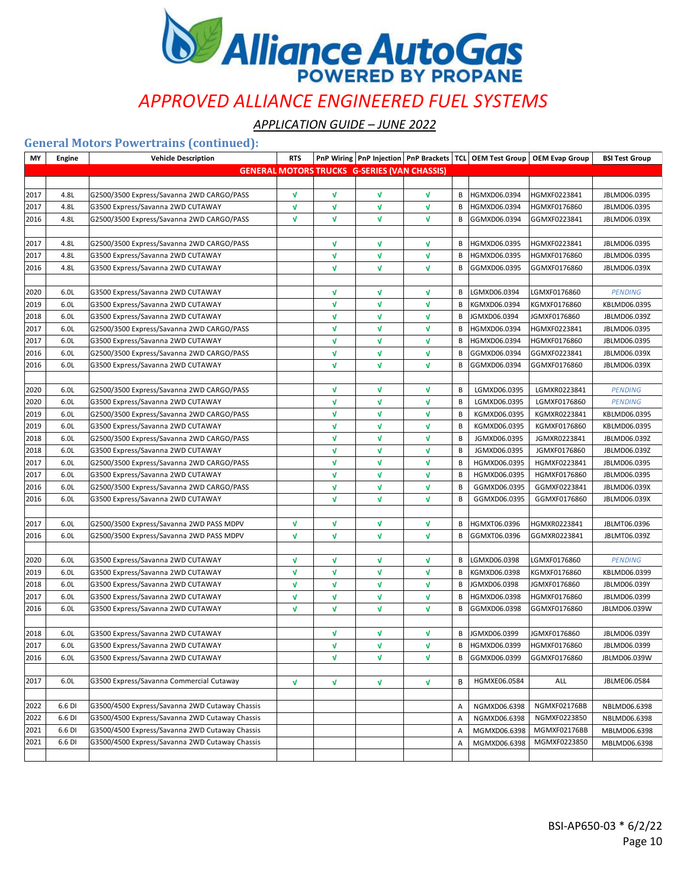

*APPLICATION GUIDE – JUNE 2022*

### **General Motors Powertrains (continued):**

| MY   | <b>Engine</b> | <b>Vehicle Description</b>                     | <b>RTS</b>   |              |                                                     |              |   |              | PnP Wiring   PnP Injection   PnP Brackets   TCL   OEM Test Group   OEM Evap Group | <b>BSI Test Group</b> |
|------|---------------|------------------------------------------------|--------------|--------------|-----------------------------------------------------|--------------|---|--------------|-----------------------------------------------------------------------------------|-----------------------|
|      |               |                                                |              |              | <b>GENERAL MOTORS TRUCKS G-SERIES (VAN CHASSIS)</b> |              |   |              |                                                                                   |                       |
|      |               |                                                |              |              |                                                     |              |   |              |                                                                                   |                       |
| 2017 | 4.8L          | G2500/3500 Express/Savanna 2WD CARGO/PASS      | $\sqrt{ }$   | V            | $\mathbf{v}$                                        | V            | В | HGMXD06.0394 | HGMXF0223841                                                                      | JBLMD06.0395          |
| 2017 | 4.8L          | G3500 Express/Savanna 2WD CUTAWAY              | V            | V            | V                                                   | V            | В | HGMXD06.0394 | HGMXF0176860                                                                      | JBLMD06.0395          |
| 2016 | 4.8L          | G2500/3500 Express/Savanna 2WD CARGO/PASS      | $\sqrt{ }$   | V            | V                                                   | V            | В | GGMXD06.0394 | GGMXF0223841                                                                      | JBLMD06.039X          |
|      |               |                                                |              |              |                                                     |              |   |              |                                                                                   |                       |
| 2017 | 4.8L          | G2500/3500 Express/Savanna 2WD CARGO/PASS      |              | V            | V                                                   | V            | В | HGMXD06.0395 | HGMXF0223841                                                                      | JBLMD06.0395          |
| 2017 | 4.8L          | G3500 Express/Savanna 2WD CUTAWAY              |              | V            | V                                                   | $\sqrt{ }$   | в | HGMXD06.0395 | HGMXF0176860                                                                      | JBLMD06.0395          |
| 2016 | 4.8L          | G3500 Express/Savanna 2WD CUTAWAY              |              | V            | V                                                   | V            | В | GGMXD06.0395 | GGMXF0176860                                                                      | JBLMD06.039X          |
|      |               |                                                |              |              |                                                     |              |   |              |                                                                                   |                       |
| 2020 | 6.0L          | G3500 Express/Savanna 2WD CUTAWAY              |              | V            | $\mathbf v$                                         | V            | В | LGMXD06.0394 | LGMXF0176860                                                                      | <b>PENDING</b>        |
| 2019 | 6.0L          | G3500 Express/Savanna 2WD CUTAWAY              |              | V            | V                                                   | V            | в | KGMXD06.0394 | KGMXF0176860                                                                      | KBLMD06.0395          |
| 2018 | 6.0L          | G3500 Express/Savanna 2WD CUTAWAY              |              | V            | $\mathbf{v}$                                        | $\sqrt{ }$   | В | JGMXD06.0394 | JGMXF0176860                                                                      | JBLMD06.039Z          |
| 2017 | 6.0L          | G2500/3500 Express/Savanna 2WD CARGO/PASS      |              | V            | V                                                   | V            | В | HGMXD06.0394 | HGMXF0223841                                                                      | JBLMD06.0395          |
| 2017 | 6.0L          | G3500 Express/Savanna 2WD CUTAWAY              |              | V            | V                                                   | $\sqrt{ }$   | в | HGMXD06.0394 | HGMXF0176860                                                                      | JBLMD06.0395          |
| 2016 | 6.0L          | G2500/3500 Express/Savanna 2WD CARGO/PASS      |              | V            | V                                                   | V            | В | GGMXD06.0394 | GGMXF0223841                                                                      | JBLMD06.039X          |
| 2016 | 6.0L          | G3500 Express/Savanna 2WD CUTAWAY              |              | V            | V                                                   | V            | В | GGMXD06.0394 | GGMXF0176860                                                                      | JBLMD06.039X          |
|      |               |                                                |              |              |                                                     |              |   |              |                                                                                   |                       |
| 2020 | 6.0L          | G2500/3500 Express/Savanna 2WD CARGO/PASS      |              | V            | V                                                   | V            | В | LGMXD06.0395 | LGMXR0223841                                                                      | <b>PENDING</b>        |
| 2020 | 6.0L          | G3500 Express/Savanna 2WD CUTAWAY              |              | V            | V                                                   | V            | В | LGMXD06.0395 | LGMXF0176860                                                                      | <b>PENDING</b>        |
| 2019 | 6.0L          | G2500/3500 Express/Savanna 2WD CARGO/PASS      |              | V            | V                                                   | V            | В | KGMXD06.0395 | KGMXR0223841                                                                      | KBLMD06.0395          |
| 2019 | 6.0L          | G3500 Express/Savanna 2WD CUTAWAY              |              | V            | V                                                   | V            | В | KGMXD06.0395 | KGMXF0176860                                                                      | KBLMD06.0395          |
| 2018 | 6.0L          | G2500/3500 Express/Savanna 2WD CARGO/PASS      |              | V            | V                                                   | V            | B | JGMXD06.0395 | JGMXR0223841                                                                      | JBLMD06.039Z          |
| 2018 | 6.0L          | G3500 Express/Savanna 2WD CUTAWAY              |              | V            | $\mathbf{v}$                                        | V            | B | JGMXD06.0395 | JGMXF0176860                                                                      | JBLMD06.039Z          |
| 2017 | 6.0L          | G2500/3500 Express/Savanna 2WD CARGO/PASS      |              | V            | V                                                   | V            | B | HGMXD06.0395 | HGMXF0223841                                                                      | JBLMD06.0395          |
| 2017 | 6.0L          | G3500 Express/Savanna 2WD CUTAWAY              |              | V            | V                                                   | V            | В | HGMXD06.0395 | HGMXF0176860                                                                      | JBLMD06.0395          |
| 2016 | 6.0L          | G2500/3500 Express/Savanna 2WD CARGO/PASS      |              | V            | V                                                   | V            | B | GGMXD06.0395 | GGMXF0223841                                                                      | JBLMD06.039X          |
| 2016 | 6.0L          | G3500 Express/Savanna 2WD CUTAWAY              |              | $\mathbf{v}$ | $\mathbf{v}$                                        | $\mathbf{v}$ | В | GGMXD06.0395 | GGMXF0176860                                                                      | JBLMD06.039X          |
|      |               |                                                |              |              |                                                     |              |   |              |                                                                                   |                       |
| 2017 | 6.0L          | G2500/3500 Express/Savanna 2WD PASS MDPV       | V            | V            | V                                                   | V            | В | HGMXT06.0396 | HGMXR0223841                                                                      | JBLMT06.0396          |
| 2016 | 6.0L          | G2500/3500 Express/Savanna 2WD PASS MDPV       | $\sqrt{ }$   | V            | V                                                   | V            | В | GGMXT06.0396 | GGMXR0223841                                                                      | JBLMT06.039Z          |
|      |               |                                                |              |              |                                                     |              |   |              |                                                                                   |                       |
| 2020 | 6.0L          | G3500 Express/Savanna 2WD CUTAWAY              | V            | V            | $\mathbf v$                                         | V            | В | LGMXD06.0398 | LGMXF0176860                                                                      | <b>PENDING</b>        |
| 2019 | 6.0L          | G3500 Express/Savanna 2WD CUTAWAY              | $\sqrt{ }$   | V            | V                                                   | V            | В | KGMXD06.0398 | KGMXF0176860                                                                      | KBLMD06.0399          |
| 2018 | 6.0L          | G3500 Express/Savanna 2WD CUTAWAY              | $\sqrt{ }$   | V            | V                                                   | $\sqrt{ }$   | В | JGMXD06.0398 | JGMXF0176860                                                                      | JBLMD06.039Y          |
| 2017 | 6.0L          | G3500 Express/Savanna 2WD CUTAWAY              | V            | V            | V                                                   | Λ            | В | HGMXD06.0398 | HGMXF0176860                                                                      | JBLMD06.0399          |
| 2016 | 6.0L          | G3500 Express/Savanna 2WD CUTAWAY              | $\mathbf{v}$ | V            | $\mathbf{v}$                                        | V            | в | GGMXD06.0398 | GGMXF0176860                                                                      | JBLMD06.039W          |
|      |               |                                                |              |              |                                                     |              |   |              |                                                                                   |                       |
| 2018 | 6.0L          | G3500 Express/Savanna 2WD CUTAWAY              |              | V            | V                                                   | V            | В | JGMXD06.0399 | JGMXF0176860                                                                      | JBLMD06.039Y          |
| 2017 | 6.0L          | G3500 Express/Savanna 2WD CUTAWAY              |              | V            | V                                                   | V            | В | HGMXD06.0399 | HGMXF0176860                                                                      | JBLMD06.0399          |
| 2016 | 6.0L          | G3500 Express/Savanna 2WD CUTAWAY              |              | V            | V                                                   | V            | В | GGMXD06.0399 | GGMXF0176860                                                                      | JBLMD06.039W          |
|      |               |                                                |              |              |                                                     |              |   |              |                                                                                   |                       |
| 2017 | 6.0L          | G3500 Express/Savanna Commercial Cutaway       | V            | V            | V                                                   | V            | В | HGMXE06.0584 | ALL                                                                               | JBLME06.0584          |
|      |               |                                                |              |              |                                                     |              |   |              |                                                                                   |                       |
| 2022 | 6.6 DI        | G3500/4500 Express/Savanna 2WD Cutaway Chassis |              |              |                                                     |              | Α | NGMXD06.6398 | NGMXF02176BB                                                                      | NBLMD06.6398          |
| 2022 | 6.6 DI        | G3500/4500 Express/Savanna 2WD Cutaway Chassis |              |              |                                                     |              | Α | NGMXD06.6398 | NGMXF0223850                                                                      | NBLMD06.6398          |
| 2021 | 6.6 DI        | G3500/4500 Express/Savanna 2WD Cutaway Chassis |              |              |                                                     |              | Α | MGMXD06.6398 | MGMXF02176BB                                                                      | MBLMD06.6398          |
| 2021 | 6.6 DI        | G3500/4500 Express/Savanna 2WD Cutaway Chassis |              |              |                                                     |              | Α | MGMXD06.6398 | MGMXF0223850                                                                      | MBLMD06.6398          |
|      |               |                                                |              |              |                                                     |              |   |              |                                                                                   |                       |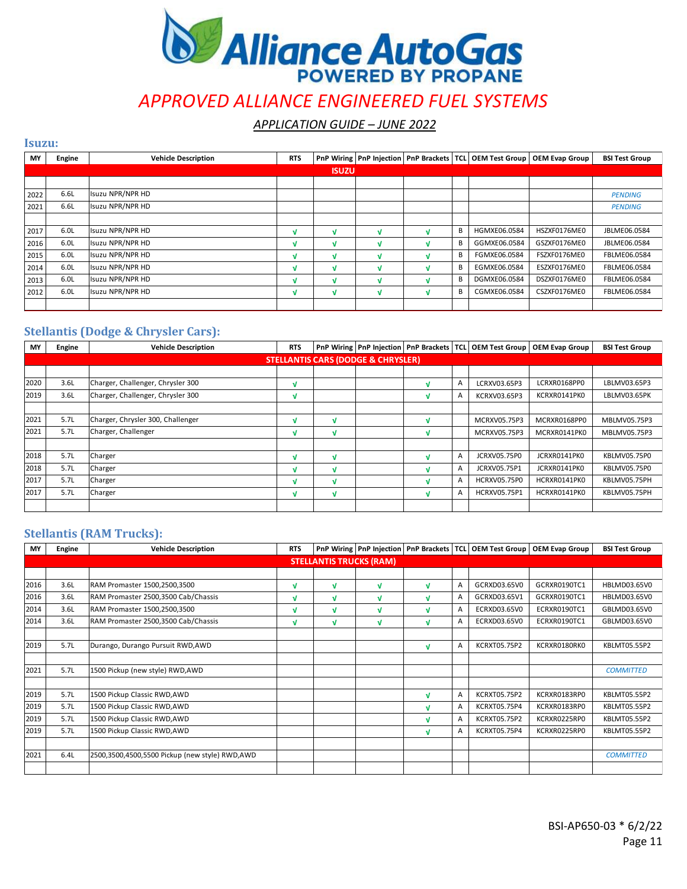

*APPLICATION GUIDE – JUNE 2022*

| MY   | Engine | <b>Vehicle Description</b> | <b>RTS</b> |              | PnP Wiring   PnP Injection |   | PnP Brackets   TCL   OEM Test Group | <b>OEM Evap Group</b> | <b>BSI Test Group</b> |
|------|--------|----------------------------|------------|--------------|----------------------------|---|-------------------------------------|-----------------------|-----------------------|
|      |        |                            |            | <b>ISUZU</b> |                            |   |                                     |                       |                       |
|      |        |                            |            |              |                            |   |                                     |                       |                       |
| 2022 | 6.6L   | Isuzu NPR/NPR HD           |            |              |                            |   |                                     |                       | <b>PENDING</b>        |
| 2021 | 6.6L   | Isuzu NPR/NPR HD           |            |              |                            |   |                                     |                       | <b>PENDING</b>        |
|      |        |                            |            |              |                            |   |                                     |                       |                       |
| 2017 | 6.0L   | Isuzu NPR/NPR HD           | M          | N            | N                          | B | HGMXE06.0584                        | HSZXF0176ME0          | JBLME06.0584          |
| 2016 | 6.0L   | <b>Isuzu NPR/NPR HD</b>    |            | v            |                            | B | GGMXE06.0584                        | GSZXF0176ME0          | JBLME06.0584          |
| 2015 | 6.0L   | <b>Isuzu NPR/NPR HD</b>    | M          | V            |                            | B | FGMXE06.0584                        | FSZXF0176ME0          | FBLME06.0584          |
| 2014 | 6.0L   | Isuzu NPR/NPR HD           | M          | N            | ×.                         | В | EGMXE06.0584                        | ESZXF0176ME0          | FBLME06.0584          |
| 2013 | 6.0L   | <b>Isuzu NPR/NPR HD</b>    |            | N            |                            | B | DGMXE06.0584                        | DSZXF0176ME0          | FBLME06.0584          |
| 2012 | 6.0L   | <b>Isuzu NPR/NPR HD</b>    | M          | ν            | ٠                          | B | CGMXE06.0584                        | CSZXF0176ME0          | FBLME06.0584          |
|      |        |                            |            |              |                            |   |                                     |                       |                       |

#### **Stellantis (Dodge & Chrysler Cars):**

**Isuzu:**

| MY   | Engine | <b>Vehicle Description</b>        | <b>RTS</b> |   |                                               |   |   |                     | PnP Wiring   PnP Injection   PnP Brackets   TCL   OEM Test Group   OEM Evap Group | <b>BSI Test Group</b> |
|------|--------|-----------------------------------|------------|---|-----------------------------------------------|---|---|---------------------|-----------------------------------------------------------------------------------|-----------------------|
|      |        |                                   |            |   | <b>STELLANTIS CARS (DODGE &amp; CHRYSLER)</b> |   |   |                     |                                                                                   |                       |
|      |        |                                   |            |   |                                               |   |   |                     |                                                                                   |                       |
| 2020 | 3.6L   | Charger, Challenger, Chrysler 300 | M          |   |                                               |   | A | LCRXV03.65P3        | LCRXR0168PP0                                                                      | LBLMV03.65P3          |
| 2019 | 3.6L   | Charger, Challenger, Chrysler 300 | N          |   |                                               |   | A | KCRXV03.65P3        | KCRXR0141PK0                                                                      | LBLMV03.65PK          |
|      |        |                                   |            |   |                                               |   |   |                     |                                                                                   |                       |
| 2021 | 5.7L   | Charger, Chrysler 300, Challenger | M          | N |                                               |   |   | MCRXV05.75P3        | MCRXR0168PP0                                                                      | MBLMV05.75P3          |
| 2021 | 5.7L   | Charger, Challenger               | M          | N |                                               |   |   | MCRXV05.75P3        | MCRXR0141PK0                                                                      | MBLMV05.75P3          |
|      |        |                                   |            |   |                                               |   |   |                     |                                                                                   |                       |
| 2018 | 5.7L   | Charger                           | M          | M |                                               |   | A | JCRXV05.75P0        | JCRXR0141PK0                                                                      | KBLMV05.75P0          |
| 2018 | 5.7L   | Charger                           | M          | N |                                               |   | A | JCRXV05.75P1        | JCRXR0141PK0                                                                      | KBLMV05.75P0          |
| 2017 | 5.7L   | Charger                           | M          | V |                                               |   |   | <b>HCRXV05.75P0</b> | HCRXR0141PK0                                                                      | KBLMV05.75PH          |
| 2017 | 5.7L   | Charger                           | V          | V |                                               | N | A | <b>HCRXV05.75P1</b> | HCRXR0141PK0                                                                      | KBLMV05.75PH          |
|      |        |                                   |            |   |                                               |   |   |                     |                                                                                   |                       |

#### **Stellantis (RAM Trucks):**

| MY   | Engine                         | <b>Vehicle Description</b>                     | <b>RTS</b> |   | PnP Wiring   PnP Injection |   |              | PnP Brackets   TCL   OEM Test Group | <b>OEM Evap Group</b> | <b>BSI Test Group</b> |  |  |
|------|--------------------------------|------------------------------------------------|------------|---|----------------------------|---|--------------|-------------------------------------|-----------------------|-----------------------|--|--|
|      | <b>STELLANTIS TRUCKS (RAM)</b> |                                                |            |   |                            |   |              |                                     |                       |                       |  |  |
|      |                                |                                                |            |   |                            |   |              |                                     |                       |                       |  |  |
| 2016 | 3.6L                           | RAM Promaster 1500,2500,3500                   | M          | V | V                          | M | A            | GCRXD03.65V0                        | GCRXR0190TC1          | HBLMD03.65V0          |  |  |
| 2016 | 3.6L                           | RAM Promaster 2500,3500 Cab/Chassis            | M          | v | V                          | v | A            | GCRXD03.65V1                        | GCRXR0190TC1          | HBLMD03.65V0          |  |  |
| 2014 | 3.6L                           | RAM Promaster 1500,2500,3500                   | M          | v | V                          | v | A            | ECRXD03.65V0                        | ECRXR0190TC1          | GBLMD03.65V0          |  |  |
| 2014 | 3.6L                           | RAM Promaster 2500,3500 Cab/Chassis            | v          | v | V                          | v | A            | ECRXD03.65V0                        | ECRXR0190TC1          | GBLMD03.65V0          |  |  |
|      |                                |                                                |            |   |                            |   |              |                                     |                       |                       |  |  |
| 2019 | 5.7L                           | Durango, Durango Pursuit RWD, AWD              |            |   |                            | v | A            | KCRXT05.75P2                        | KCRXR0180RK0          | KBLMT05.55P2          |  |  |
|      |                                |                                                |            |   |                            |   |              |                                     |                       |                       |  |  |
| 2021 | 5.7L                           | 1500 Pickup (new style) RWD, AWD               |            |   |                            |   |              |                                     |                       | <b>COMMITTED</b>      |  |  |
|      |                                |                                                |            |   |                            |   |              |                                     |                       |                       |  |  |
| 2019 | 5.7L                           | 1500 Pickup Classic RWD, AWD                   |            |   |                            | V | $\mathsf{A}$ | <b>KCRXT05.75P2</b>                 | KCRXR0183RP0          | KBLMT05.55P2          |  |  |
| 2019 | 5.7L                           | 1500 Pickup Classic RWD, AWD                   |            |   |                            | M | A            | KCRXT05.75P4                        | KCRXR0183RP0          | KBLMT05.55P2          |  |  |
| 2019 | 5.7L                           | 1500 Pickup Classic RWD, AWD                   |            |   |                            | M | A            | KCRXT05.75P2                        | KCRXR0225RP0          | KBLMT05.55P2          |  |  |
| 2019 | 5.7L                           | 1500 Pickup Classic RWD, AWD                   |            |   |                            | V | A            | <b>KCRXT05.75P4</b>                 | KCRXR0225RP0          | KBLMT05.55P2          |  |  |
|      |                                |                                                |            |   |                            |   |              |                                     |                       |                       |  |  |
| 2021 | 6.4L                           | 2500,3500,4500,5500 Pickup (new style) RWD,AWD |            |   |                            |   |              |                                     |                       | <b>COMMITTED</b>      |  |  |
|      |                                |                                                |            |   |                            |   |              |                                     |                       |                       |  |  |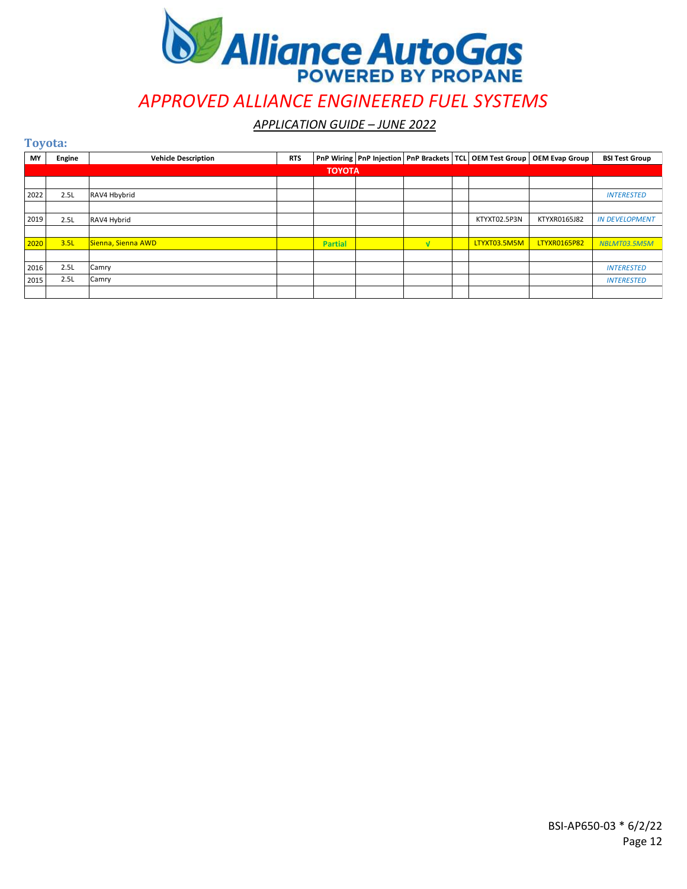

*APPLICATION GUIDE – JUNE 2022*

**Toyota:**

| MY   | Engine        | <b>Vehicle Description</b> | <b>RTS</b> |                |  |  |  |              | PnP Wiring PnP Injection PnP Brackets TCL OEM Test Group   OEM Evap Group | <b>BSI Test Group</b> |  |  |
|------|---------------|----------------------------|------------|----------------|--|--|--|--------------|---------------------------------------------------------------------------|-----------------------|--|--|
|      | <b>TOYOTA</b> |                            |            |                |  |  |  |              |                                                                           |                       |  |  |
|      |               |                            |            |                |  |  |  |              |                                                                           |                       |  |  |
| 2022 | 2.5L          | RAV4 Hbybrid               |            |                |  |  |  |              |                                                                           | <b>INTERESTED</b>     |  |  |
|      |               |                            |            |                |  |  |  |              |                                                                           |                       |  |  |
| 2019 | 2.5L          | RAV4 Hybrid                |            |                |  |  |  | KTYXT02.5P3N | KTYXR0165J82                                                              | <b>IN DEVELOPMENT</b> |  |  |
|      |               |                            |            |                |  |  |  |              |                                                                           |                       |  |  |
| 2020 | 3.5L          | Sienna, Sienna AWD         |            | <b>Partial</b> |  |  |  | LTYXT03.5M5M | <b>LTYXR0165P82</b>                                                       | NBLMT03.5M5M          |  |  |
|      |               |                            |            |                |  |  |  |              |                                                                           |                       |  |  |
| 2016 | 2.5L          | Camry                      |            |                |  |  |  |              |                                                                           | <b>INTERESTED</b>     |  |  |
| 2015 | 2.5L          | Camry                      |            |                |  |  |  |              |                                                                           | <b>INTERESTED</b>     |  |  |
|      |               |                            |            |                |  |  |  |              |                                                                           |                       |  |  |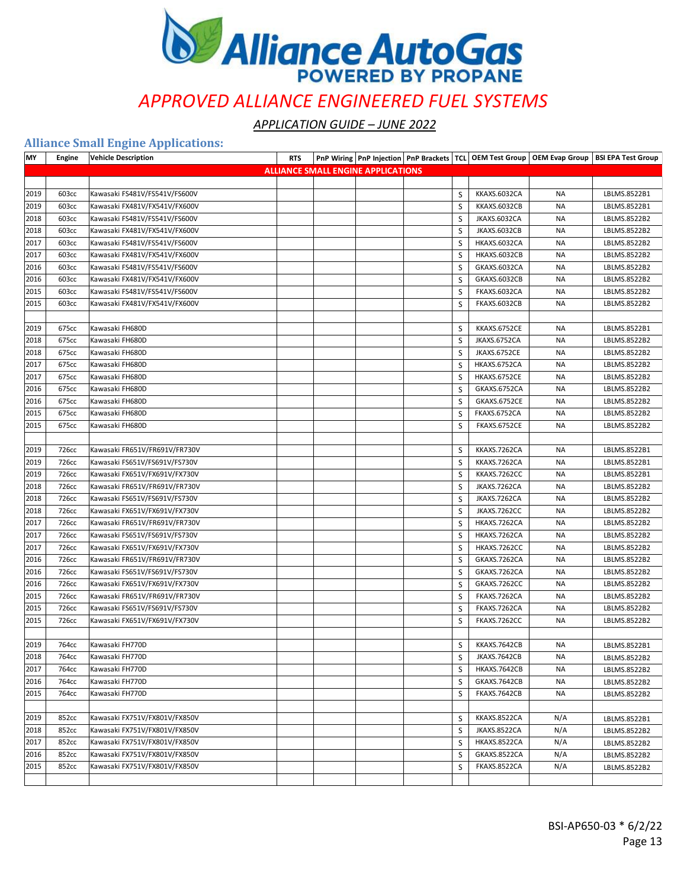

*APPLICATION GUIDE – JUNE 2022*

#### **Alliance Small Engine Applications:**

| MY   | Engine | <b>Vehicle Description</b>    | <b>RTS</b> |                                           |   |                     |           | PnP Wiring   PnP Injection   PnP Brackets   TCL   OEM Test Group   OEM Evap Group   BSI EPA Test Group |
|------|--------|-------------------------------|------------|-------------------------------------------|---|---------------------|-----------|--------------------------------------------------------------------------------------------------------|
|      |        |                               |            | <b>ALLIANCE SMALL ENGINE APPLICATIONS</b> |   |                     |           |                                                                                                        |
|      |        |                               |            |                                           |   |                     |           |                                                                                                        |
| 2019 | 603cc  | Kawasaki FS481V/FS541V/FS600V |            |                                           | S | KKAXS.6032CA        | <b>NA</b> | LBLMS.8522B1                                                                                           |
| 2019 | 603cc  | Kawasaki FX481V/FX541V/FX600V |            |                                           | S | KKAXS.6032CB        | <b>NA</b> | LBLMS.8522B1                                                                                           |
| 2018 | 603cc  | Kawasaki FS481V/FS541V/FS600V |            |                                           | S | JKAXS.6032CA        | <b>NA</b> | LBLMS.8522B2                                                                                           |
| 2018 | 603cc  | Kawasaki FX481V/FX541V/FX600V |            |                                           | S | JKAXS.6032CB        | ΝA        | LBLMS.8522B2                                                                                           |
| 2017 | 603cc  | Kawasaki FS481V/FS541V/FS600V |            |                                           | S | HKAXS.6032CA        | ΝA        | LBLMS.8522B2                                                                                           |
| 2017 | 603cc  | Kawasaki FX481V/FX541V/FX600V |            |                                           | S | HKAXS.6032CB        | <b>NA</b> | LBLMS.8522B2                                                                                           |
| 2016 | 603cc  | Kawasaki FS481V/FS541V/FS600V |            |                                           | S | GKAXS.6032CA        | ΝA        | LBLMS.8522B2                                                                                           |
| 2016 | 603cc  | Kawasaki FX481V/FX541V/FX600V |            |                                           | S | GKAXS.6032CB        | <b>NA</b> | LBLMS.8522B2                                                                                           |
| 2015 | 603cc  | Kawasaki FS481V/FS541V/FS600V |            |                                           | S | <b>FKAXS.6032CA</b> | <b>NA</b> | LBLMS.8522B2                                                                                           |
| 2015 | 603cc  | Kawasaki FX481V/FX541V/FX600V |            |                                           | S | FKAXS.6032CB        | <b>NA</b> | LBLMS.8522B2                                                                                           |
|      |        |                               |            |                                           |   |                     |           |                                                                                                        |
| 2019 | 675cc  | Kawasaki FH680D               |            |                                           | S | KKAXS.6752CE        | ΝA        | LBLMS.8522B1                                                                                           |
| 2018 | 675cc  | Kawasaki FH680D               |            |                                           | S | JKAXS.6752CA        | ΝA        | LBLMS.8522B2                                                                                           |
| 2018 | 675cc  | Kawasaki FH680D               |            |                                           | S | JKAXS.6752CE        | <b>NA</b> | LBLMS.8522B2                                                                                           |
| 2017 | 675cc  | Kawasaki FH680D               |            |                                           | S | HKAXS.6752CA        | NA        | LBLMS.8522B2                                                                                           |
| 2017 | 675cc  | Kawasaki FH680D               |            |                                           | S | HKAXS.6752CE        | <b>NA</b> | LBLMS.8522B2                                                                                           |
| 2016 | 675cc  | Kawasaki FH680D               |            |                                           | S | GKAXS.6752CA        | ΝA        | LBLMS.8522B2                                                                                           |
| 2016 | 675cc  | Kawasaki FH680D               |            |                                           | S | GKAXS.6752CE        | <b>NA</b> | LBLMS.8522B2                                                                                           |
| 2015 | 675cc  | Kawasaki FH680D               |            |                                           | S | FKAXS.6752CA        | <b>NA</b> | LBLMS.8522B2                                                                                           |
| 2015 | 675cc  | Kawasaki FH680D               |            |                                           | S | FKAXS.6752CE        | <b>NA</b> | LBLMS.8522B2                                                                                           |
|      |        |                               |            |                                           |   |                     |           |                                                                                                        |
| 2019 | 726cc  | Kawasaki FR651V/FR691V/FR730V |            |                                           | S | KKAXS.7262CA        | ΝA        | LBLMS.8522B1                                                                                           |
| 2019 | 726cc  | Kawasaki FS651V/FS691V/FS730V |            |                                           | S | KKAXS.7262CA        | ΝA        | LBLMS.8522B1                                                                                           |
| 2019 | 726cc  | Kawasaki FX651V/FX691V/FX730V |            |                                           | S | KKAXS.7262CC        | <b>NA</b> | LBLMS.8522B1                                                                                           |
| 2018 | 726cc  | Kawasaki FR651V/FR691V/FR730V |            |                                           | S | JKAXS.7262CA        | NA        | LBLMS.8522B2                                                                                           |
| 2018 | 726cc  | Kawasaki FS651V/FS691V/FS730V |            |                                           | S | JKAXS.7262CA        | ΝA        | LBLMS.8522B2                                                                                           |
| 2018 | 726cc  | Kawasaki FX651V/FX691V/FX730V |            |                                           | S | JKAXS.7262CC        | <b>NA</b> | LBLMS.8522B2                                                                                           |
| 2017 | 726cc  | Kawasaki FR651V/FR691V/FR730V |            |                                           | S | HKAXS.7262CA        | ΝA        | LBLMS.8522B2                                                                                           |
| 2017 | 726cc  | Kawasaki FS651V/FS691V/FS730V |            |                                           | S | HKAXS.7262CA        | <b>NA</b> | LBLMS.8522B2                                                                                           |
| 2017 | 726cc  | Kawasaki FX651V/FX691V/FX730V |            |                                           | S | HKAXS.7262CC        | <b>NA</b> | LBLMS.8522B2                                                                                           |
| 2016 | 726cc  | Kawasaki FR651V/FR691V/FR730V |            |                                           | S | GKAXS.7262CA        | ΝA        | LBLMS.8522B2                                                                                           |
| 2016 | 726cc  | Kawasaki FS651V/FS691V/FS730V |            |                                           | S | GKAXS.7262CA        | <b>NA</b> | LBLMS.8522B2                                                                                           |
| 2016 | 726cc  | Kawasaki FX651V/FX691V/FX730V |            |                                           | S | GKAXS.7262CC        | <b>NA</b> | LBLMS.8522B2                                                                                           |
| 2015 | 726cc  | Kawasaki FR651V/FR691V/FR730V |            |                                           | S | FKAXS.7262CA        | <b>NA</b> | LBLMS.8522B2                                                                                           |
| 2015 | 726cc  | Kawasaki FS651V/FS691V/FS730V |            |                                           | S | FKAXS.7262CA        | <b>NA</b> | LBLMS.8522B2                                                                                           |
| 2015 | 726cc  | Kawasaki FX651V/FX691V/FX730V |            |                                           | S | <b>FKAXS.7262CC</b> | <b>NA</b> | LBLMS.8522B2                                                                                           |
|      |        |                               |            |                                           |   |                     |           |                                                                                                        |
| 2019 | 764cc  | Kawasaki FH770D               |            |                                           | S | KKAXS.7642CB        | ΝA        | LBLMS.8522B1                                                                                           |
| 2018 | 764cc  | Kawasaki FH770D               |            |                                           | S | <b>JKAXS.7642CB</b> | ΝA        | LBLMS.8522B2                                                                                           |
| 2017 | 764cc  | Kawasaki FH770D               |            |                                           | S | HKAXS.7642CB        | <b>NA</b> | LBLMS.8522B2                                                                                           |
| 2016 | 764cc  | Kawasaki FH770D               |            |                                           | S | GKAXS.7642CB        | ΝA        | LBLMS.8522B2                                                                                           |
| 2015 | 764cc  | Kawasaki FH770D               |            |                                           | S | FKAXS.7642CB        | <b>NA</b> | LBLMS.8522B2                                                                                           |
|      |        |                               |            |                                           |   |                     |           |                                                                                                        |
| 2019 | 852cc  | Kawasaki FX751V/FX801V/FX850V |            |                                           | S | KKAXS.8522CA        | N/A       | LBLMS.8522B1                                                                                           |
| 2018 | 852cc  | Kawasaki FX751V/FX801V/FX850V |            |                                           | S | JKAXS.8522CA        | N/A       | LBLMS.8522B2                                                                                           |
| 2017 | 852cc  | Kawasaki FX751V/FX801V/FX850V |            |                                           | S | HKAXS.8522CA        | N/A       | LBLMS.8522B2                                                                                           |
| 2016 | 852cc  | Kawasaki FX751V/FX801V/FX850V |            |                                           | S | GKAXS.8522CA        | N/A       | LBLMS.8522B2                                                                                           |
| 2015 | 852cc  | Kawasaki FX751V/FX801V/FX850V |            |                                           | S | FKAXS.8522CA        | N/A       | LBLMS.8522B2                                                                                           |
|      |        |                               |            |                                           |   |                     |           |                                                                                                        |